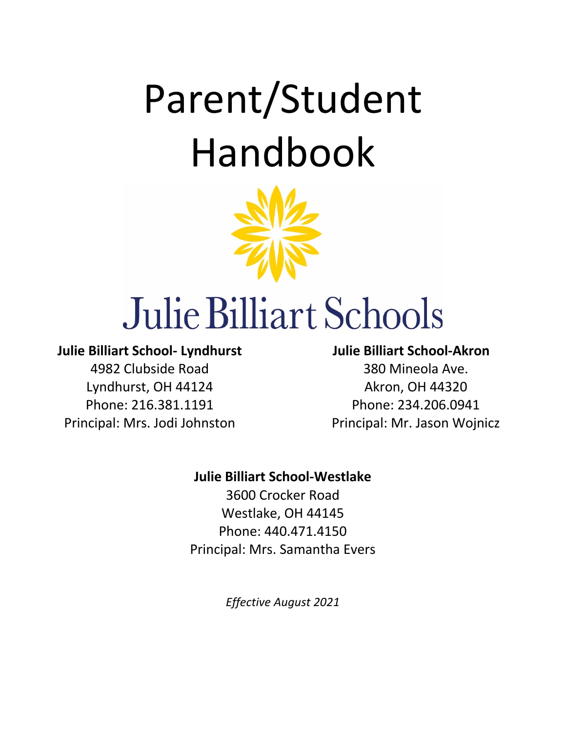# Parent/Student Handbook



# Julie Billiart Schools

## **Julie Billiart School- Lyndhurst**

4982 Clubside Road Lyndhurst, OH 44124 Phone: 216.381.1191 Principal: Mrs. Jodi Johnston

# **Julie Billiart School-Akron** 380 Mineola Ave. Akron, OH 44320 Phone: 234.206.0941 Principal: Mr. Jason Wojnicz

## **Julie Billiart School-Westlake**

3600 Crocker Road Westlake, OH 44145 Phone: 440.471.4150 Principal: Mrs. Samantha Evers

*Effective August 2021*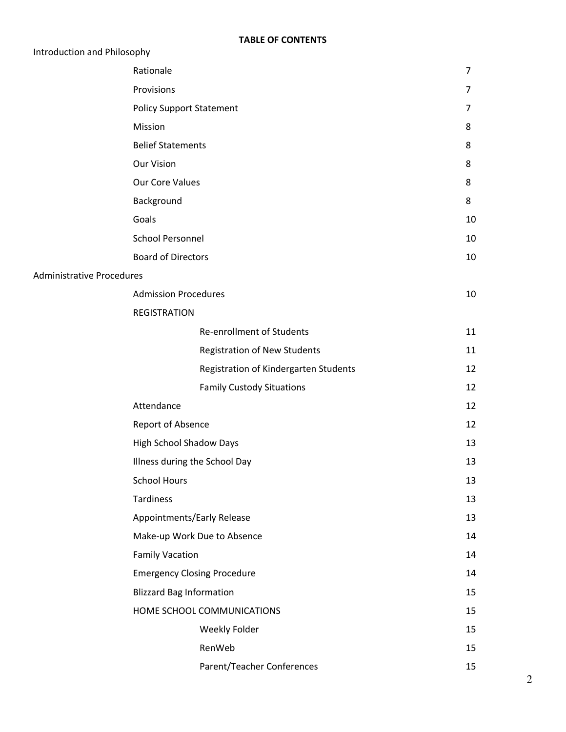| Introduction and Philosophy      |                                     |                                       |          |
|----------------------------------|-------------------------------------|---------------------------------------|----------|
|                                  | Rationale                           |                                       | 7        |
|                                  | Provisions                          |                                       | 7        |
|                                  | <b>Policy Support Statement</b>     |                                       | $\prime$ |
|                                  | Mission                             |                                       | 8        |
|                                  | <b>Belief Statements</b>            |                                       | 8        |
|                                  | <b>Our Vision</b>                   |                                       | 8        |
|                                  | Our Core Values                     |                                       | 8        |
|                                  | Background                          |                                       | 8        |
|                                  | Goals                               |                                       | 10       |
|                                  | <b>School Personnel</b>             |                                       | 10       |
|                                  | <b>Board of Directors</b>           |                                       | 10       |
| <b>Administrative Procedures</b> |                                     |                                       |          |
|                                  | <b>Admission Procedures</b>         |                                       | 10       |
|                                  | <b>REGISTRATION</b>                 |                                       |          |
|                                  | <b>Re-enrollment of Students</b>    |                                       | 11       |
|                                  | <b>Registration of New Students</b> |                                       | 11       |
|                                  |                                     | Registration of Kindergarten Students | 12       |
|                                  | <b>Family Custody Situations</b>    |                                       | 12       |
|                                  | Attendance                          |                                       | 12       |
|                                  | Report of Absence                   |                                       | 12       |
|                                  | <b>High School Shadow Days</b>      |                                       | 13       |
|                                  | Illness during the School Day       |                                       | 13       |
|                                  | <b>School Hours</b>                 |                                       | 13       |
|                                  | <b>Tardiness</b>                    |                                       | 13       |
|                                  | Appointments/Early Release          |                                       | 13       |
|                                  | Make-up Work Due to Absence         |                                       | 14       |
|                                  | <b>Family Vacation</b>              |                                       | 14       |
|                                  | <b>Emergency Closing Procedure</b>  |                                       | 14       |
|                                  | <b>Blizzard Bag Information</b>     |                                       | 15       |
|                                  | HOME SCHOOL COMMUNICATIONS          |                                       | 15       |
|                                  | Weekly Folder                       |                                       | 15       |
|                                  | RenWeb                              |                                       | 15       |
|                                  | Parent/Teacher Conferences          |                                       | 15       |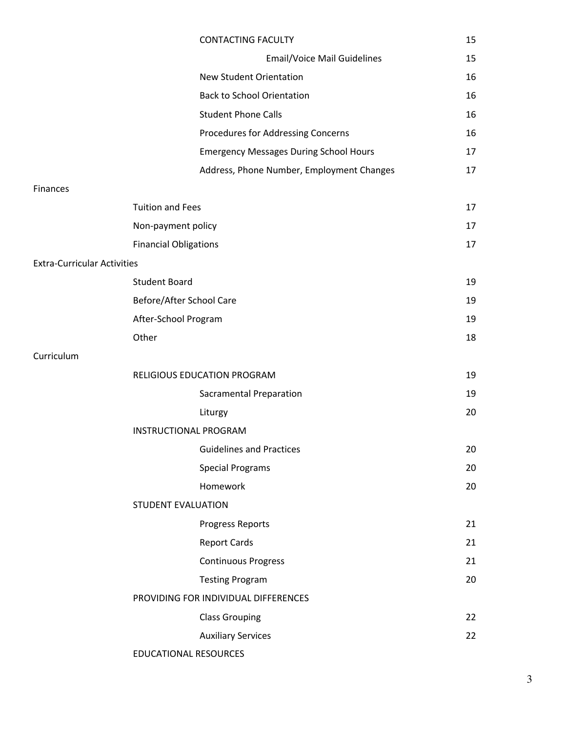|                                    |                              | <b>CONTACTING FACULTY</b>                     | 15 |
|------------------------------------|------------------------------|-----------------------------------------------|----|
|                                    |                              | <b>Email/Voice Mail Guidelines</b>            | 15 |
|                                    |                              | <b>New Student Orientation</b>                | 16 |
|                                    |                              | <b>Back to School Orientation</b>             | 16 |
|                                    |                              | <b>Student Phone Calls</b>                    | 16 |
|                                    |                              | Procedures for Addressing Concerns            | 16 |
|                                    |                              | <b>Emergency Messages During School Hours</b> | 17 |
|                                    |                              | Address, Phone Number, Employment Changes     | 17 |
| Finances                           |                              |                                               |    |
|                                    | <b>Tuition and Fees</b>      |                                               | 17 |
|                                    | Non-payment policy           |                                               | 17 |
|                                    | <b>Financial Obligations</b> |                                               | 17 |
| <b>Extra-Curricular Activities</b> |                              |                                               |    |
|                                    | <b>Student Board</b>         |                                               | 19 |
|                                    | Before/After School Care     |                                               | 19 |
|                                    | After-School Program         |                                               | 19 |
|                                    | Other                        |                                               | 18 |
| Curriculum                         |                              |                                               |    |
|                                    |                              | RELIGIOUS EDUCATION PROGRAM                   | 19 |
|                                    |                              | <b>Sacramental Preparation</b>                | 19 |
|                                    |                              | Liturgy                                       | 20 |
|                                    | <b>INSTRUCTIONAL PROGRAM</b> |                                               |    |
|                                    |                              | <b>Guidelines and Practices</b>               | 20 |
|                                    |                              | <b>Special Programs</b>                       | 20 |
|                                    |                              | Homework                                      | 20 |
|                                    | <b>STUDENT EVALUATION</b>    |                                               |    |
|                                    |                              | Progress Reports                              | 21 |
|                                    |                              | <b>Report Cards</b>                           | 21 |
|                                    |                              | <b>Continuous Progress</b>                    | 21 |
|                                    |                              | <b>Testing Program</b>                        | 20 |
|                                    |                              | PROVIDING FOR INDIVIDUAL DIFFERENCES          |    |
|                                    |                              | <b>Class Grouping</b>                         | 22 |
|                                    |                              | <b>Auxiliary Services</b>                     | 22 |
|                                    | EDUCATIONAL RESOURCES        |                                               |    |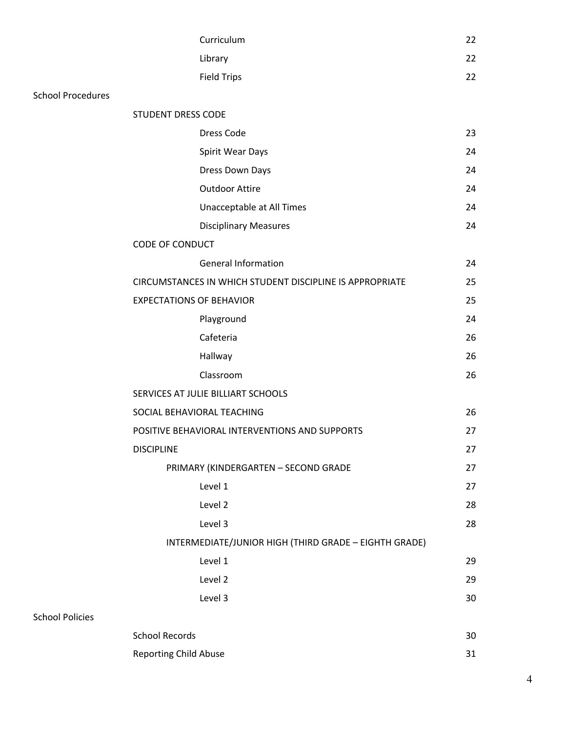|                          | Curriculum                         |                                                          | 22 |
|--------------------------|------------------------------------|----------------------------------------------------------|----|
|                          | Library                            |                                                          | 22 |
|                          | <b>Field Trips</b>                 |                                                          | 22 |
| <b>School Procedures</b> |                                    |                                                          |    |
|                          | STUDENT DRESS CODE                 |                                                          |    |
|                          | <b>Dress Code</b>                  |                                                          | 23 |
|                          |                                    | Spirit Wear Days                                         | 24 |
|                          |                                    | Dress Down Days                                          | 24 |
|                          |                                    | <b>Outdoor Attire</b>                                    | 24 |
|                          |                                    | Unacceptable at All Times                                | 24 |
|                          |                                    | <b>Disciplinary Measures</b>                             | 24 |
|                          | <b>CODE OF CONDUCT</b>             |                                                          |    |
|                          |                                    | <b>General Information</b>                               | 24 |
|                          |                                    | CIRCUMSTANCES IN WHICH STUDENT DISCIPLINE IS APPROPRIATE | 25 |
|                          | <b>EXPECTATIONS OF BEHAVIOR</b>    |                                                          | 25 |
|                          | Playground                         |                                                          | 24 |
|                          | Cafeteria                          |                                                          | 26 |
|                          | Hallway                            |                                                          | 26 |
|                          | Classroom                          |                                                          | 26 |
|                          | SERVICES AT JULIE BILLIART SCHOOLS |                                                          |    |
|                          | SOCIAL BEHAVIORAL TEACHING         |                                                          | 26 |
|                          |                                    | POSITIVE BEHAVIORAL INTERVENTIONS AND SUPPORTS           | 27 |
|                          | <b>DISCIPLINE</b>                  |                                                          | 27 |
|                          |                                    | PRIMARY (KINDERGARTEN - SECOND GRADE                     | 27 |
|                          | Level 1                            |                                                          | 27 |
|                          | Level 2                            |                                                          | 28 |
|                          | Level 3                            |                                                          | 28 |
|                          |                                    | INTERMEDIATE/JUNIOR HIGH (THIRD GRADE - EIGHTH GRADE)    |    |
|                          | Level 1                            |                                                          | 29 |
|                          | Level 2                            |                                                          | 29 |
|                          | Level 3                            |                                                          | 30 |
| <b>School Policies</b>   |                                    |                                                          |    |
|                          | <b>School Records</b>              |                                                          | 30 |
|                          | <b>Reporting Child Abuse</b>       |                                                          | 31 |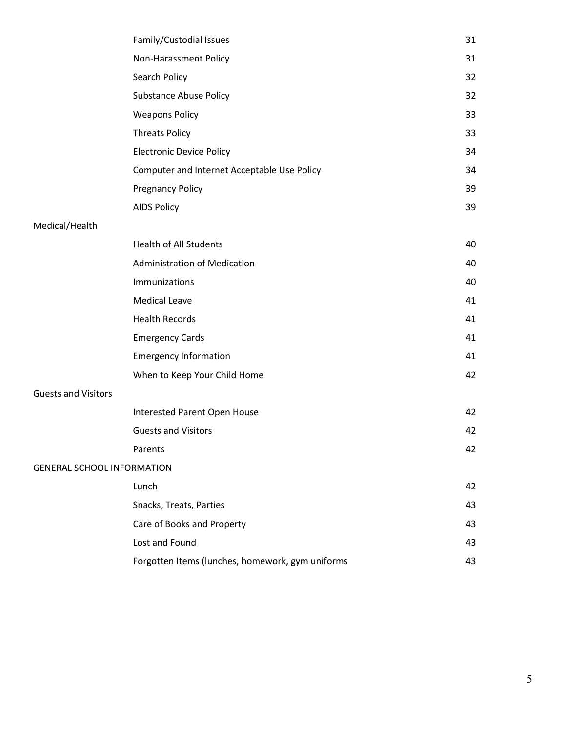|                                   | Family/Custodial Issues                          | 31 |
|-----------------------------------|--------------------------------------------------|----|
|                                   | Non-Harassment Policy                            | 31 |
|                                   | Search Policy                                    | 32 |
|                                   | <b>Substance Abuse Policy</b>                    | 32 |
|                                   | <b>Weapons Policy</b>                            | 33 |
|                                   | <b>Threats Policy</b>                            | 33 |
|                                   | <b>Electronic Device Policy</b>                  | 34 |
|                                   | Computer and Internet Acceptable Use Policy      | 34 |
|                                   | <b>Pregnancy Policy</b>                          | 39 |
|                                   | <b>AIDS Policy</b>                               | 39 |
| Medical/Health                    |                                                  |    |
|                                   | <b>Health of All Students</b>                    | 40 |
|                                   | <b>Administration of Medication</b>              | 40 |
|                                   | Immunizations                                    | 40 |
|                                   | <b>Medical Leave</b>                             | 41 |
|                                   | <b>Health Records</b>                            | 41 |
|                                   | <b>Emergency Cards</b>                           | 41 |
|                                   | <b>Emergency Information</b>                     | 41 |
|                                   | When to Keep Your Child Home                     | 42 |
| <b>Guests and Visitors</b>        |                                                  |    |
|                                   | Interested Parent Open House                     | 42 |
|                                   | <b>Guests and Visitors</b>                       | 42 |
|                                   | Parents                                          | 42 |
| <b>GENERAL SCHOOL INFORMATION</b> |                                                  |    |
|                                   | Lunch                                            | 42 |
|                                   | Snacks, Treats, Parties                          | 43 |
|                                   | Care of Books and Property                       | 43 |
|                                   | Lost and Found                                   | 43 |
|                                   | Forgotten Items (lunches, homework, gym uniforms | 43 |
|                                   |                                                  |    |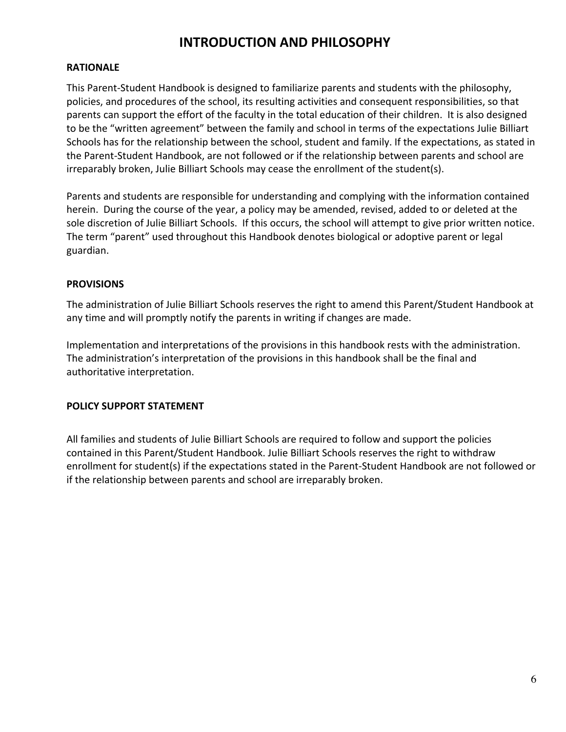# **INTRODUCTION AND PHILOSOPHY**

## **RATIONALE**

This Parent-Student Handbook is designed to familiarize parents and students with the philosophy, policies, and procedures of the school, its resulting activities and consequent responsibilities, so that parents can support the effort of the faculty in the total education of their children. It is also designed to be the "written agreement" between the family and school in terms of the expectations Julie Billiart Schools has for the relationship between the school, student and family. If the expectations, as stated in the Parent-Student Handbook, are not followed or if the relationship between parents and school are irreparably broken, Julie Billiart Schools may cease the enrollment of the student(s).

Parents and students are responsible for understanding and complying with the information contained herein. During the course of the year, a policy may be amended, revised, added to or deleted at the sole discretion of Julie Billiart Schools. If this occurs, the school will attempt to give prior written notice. The term "parent" used throughout this Handbook denotes biological or adoptive parent or legal guardian.

## **PROVISIONS**

The administration of Julie Billiart Schools reserves the right to amend this Parent/Student Handbook at any time and will promptly notify the parents in writing if changes are made.

Implementation and interpretations of the provisions in this handbook rests with the administration. The administration's interpretation of the provisions in this handbook shall be the final and authoritative interpretation.

## **POLICY SUPPORT STATEMENT**

All families and students of Julie Billiart Schools are required to follow and support the policies contained in this Parent/Student Handbook. Julie Billiart Schools reserves the right to withdraw enrollment for student(s) if the expectations stated in the Parent-Student Handbook are not followed or if the relationship between parents and school are irreparably broken.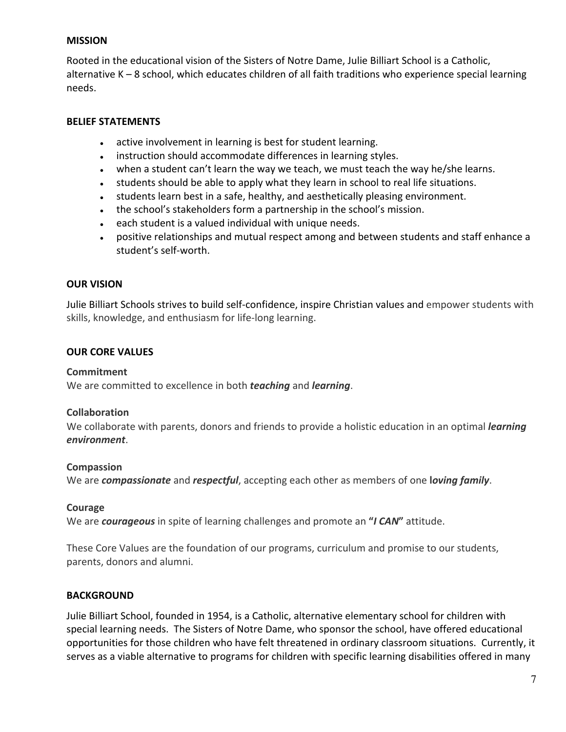## **MISSION**

Rooted in the educational vision of the Sisters of Notre Dame, Julie Billiart School is a Catholic, alternative K – 8 school, which educates children of all faith traditions who experience special learning needs.

## **BELIEF STATEMENTS**

- active involvement in learning is best for student learning.
- instruction should accommodate differences in learning styles.
- when a student can't learn the way we teach, we must teach the way he/she learns.
- students should be able to apply what they learn in school to real life situations.
- students learn best in a safe, healthy, and aesthetically pleasing environment.
- the school's stakeholders form a partnership in the school's mission.
- each student is a valued individual with unique needs.
- positive relationships and mutual respect among and between students and staff enhance a student's self-worth.

## **OUR VISION**

Julie Billiart Schools strives to build self-confidence, inspire Christian values and empower students with skills, knowledge, and enthusiasm for life-long learning.

## **OUR CORE VALUES**

## **Commitment**

We are committed to excellence in both *teaching* and *learning*.

## **Collaboration**

We collaborate with parents, donors and friends to provide a holistic education in an optimal *learning environment*.

## **Compassion**

We are *compassionate* and *respectful*, accepting each other as members of one **l***oving family*.

## **Courage**

We are *courageous* in spite of learning challenges and promote an **"***I CAN***"** attitude.

These Core Values are the foundation of our programs, curriculum and promise to our students, parents, donors and alumni.

## **BACKGROUND**

Julie Billiart School, founded in 1954, is a Catholic, alternative elementary school for children with special learning needs. The Sisters of Notre Dame, who sponsor the school, have offered educational opportunities for those children who have felt threatened in ordinary classroom situations. Currently, it serves as a viable alternative to programs for children with specific learning disabilities offered in many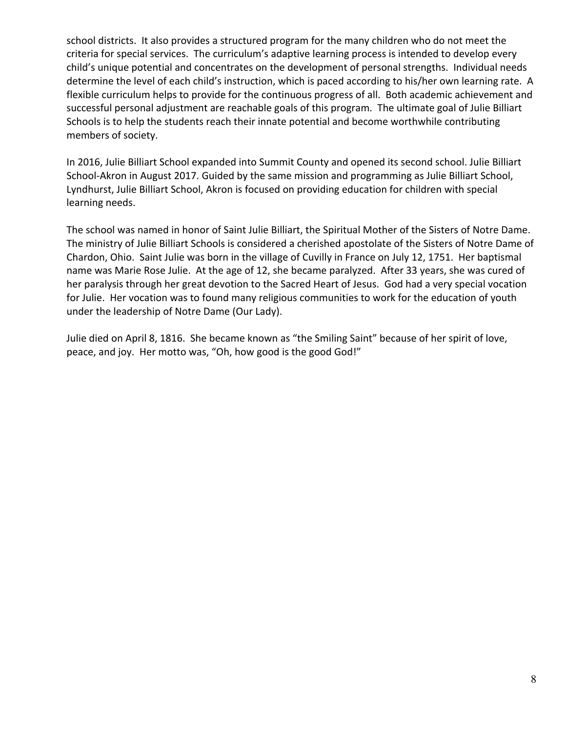school districts. It also provides a structured program for the many children who do not meet the criteria for special services. The curriculum's adaptive learning process is intended to develop every child's unique potential and concentrates on the development of personal strengths. Individual needs determine the level of each child's instruction, which is paced according to his/her own learning rate. A flexible curriculum helps to provide for the continuous progress of all. Both academic achievement and successful personal adjustment are reachable goals of this program. The ultimate goal of Julie Billiart Schools is to help the students reach their innate potential and become worthwhile contributing members of society.

In 2016, Julie Billiart School expanded into Summit County and opened its second school. Julie Billiart School-Akron in August 2017. Guided by the same mission and programming as Julie Billiart School, Lyndhurst, Julie Billiart School, Akron is focused on providing education for children with special learning needs.

The school was named in honor of Saint Julie Billiart, the Spiritual Mother of the Sisters of Notre Dame. The ministry of Julie Billiart Schools is considered a cherished apostolate of the Sisters of Notre Dame of Chardon, Ohio. Saint Julie was born in the village of Cuvilly in France on July 12, 1751. Her baptismal name was Marie Rose Julie. At the age of 12, she became paralyzed. After 33 years, she was cured of her paralysis through her great devotion to the Sacred Heart of Jesus. God had a very special vocation for Julie. Her vocation was to found many religious communities to work for the education of youth under the leadership of Notre Dame (Our Lady).

Julie died on April 8, 1816. She became known as "the Smiling Saint" because of her spirit of love, peace, and joy. Her motto was, "Oh, how good is the good God!"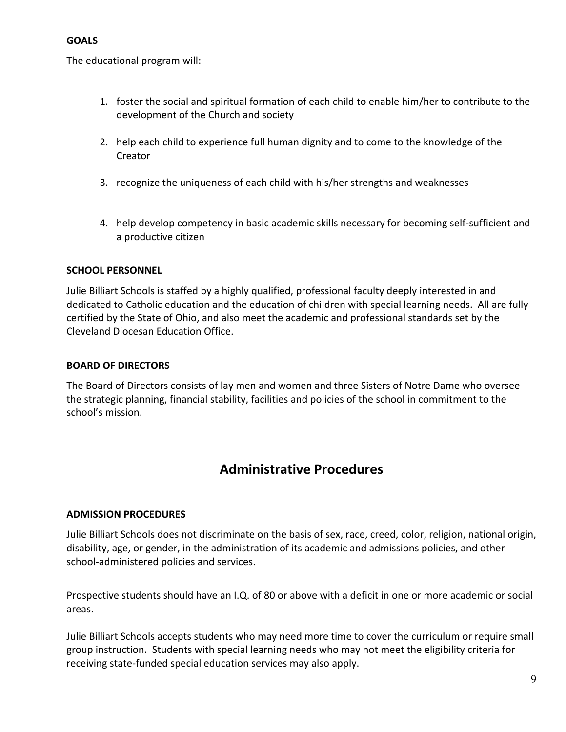## **GOALS**

The educational program will:

- 1. foster the social and spiritual formation of each child to enable him/her to contribute to the development of the Church and society
- 2. help each child to experience full human dignity and to come to the knowledge of the Creator
- 3. recognize the uniqueness of each child with his/her strengths and weaknesses
- 4. help develop competency in basic academic skills necessary for becoming self-sufficient and a productive citizen

## **SCHOOL PERSONNEL**

Julie Billiart Schools is staffed by a highly qualified, professional faculty deeply interested in and dedicated to Catholic education and the education of children with special learning needs. All are fully certified by the State of Ohio, and also meet the academic and professional standards set by the Cleveland Diocesan Education Office.

## **BOARD OF DIRECTORS**

The Board of Directors consists of lay men and women and three Sisters of Notre Dame who oversee the strategic planning, financial stability, facilities and policies of the school in commitment to the school's mission.

# **Administrative Procedures**

## **ADMISSION PROCEDURES**

Julie Billiart Schools does not discriminate on the basis of sex, race, creed, color, religion, national origin, disability, age, or gender, in the administration of its academic and admissions policies, and other school-administered policies and services.

Prospective students should have an I.Q. of 80 or above with a deficit in one or more academic or social areas.

Julie Billiart Schools accepts students who may need more time to cover the curriculum or require small group instruction. Students with special learning needs who may not meet the eligibility criteria for receiving state-funded special education services may also apply.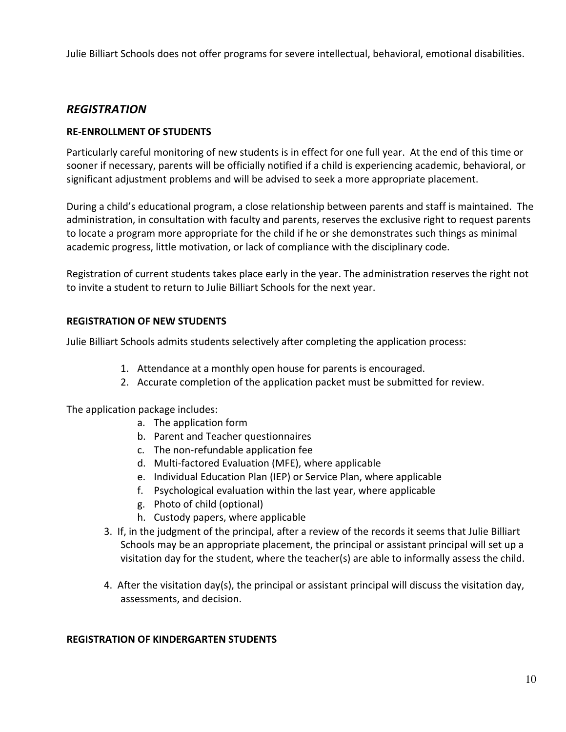Julie Billiart Schools does not offer programs for severe intellectual, behavioral, emotional disabilities.

## *REGISTRATION*

## **RE-ENROLLMENT OF STUDENTS**

Particularly careful monitoring of new students is in effect for one full year. At the end of this time or sooner if necessary, parents will be officially notified if a child is experiencing academic, behavioral, or significant adjustment problems and will be advised to seek a more appropriate placement.

During a child's educational program, a close relationship between parents and staff is maintained. The administration, in consultation with faculty and parents, reserves the exclusive right to request parents to locate a program more appropriate for the child if he or she demonstrates such things as minimal academic progress, little motivation, or lack of compliance with the disciplinary code.

Registration of current students takes place early in the year. The administration reserves the right not to invite a student to return to Julie Billiart Schools for the next year.

## **REGISTRATION OF NEW STUDENTS**

Julie Billiart Schools admits students selectively after completing the application process:

- 1. Attendance at a monthly open house for parents is encouraged.
- 2. Accurate completion of the application packet must be submitted for review.

The application package includes:

- a. The application form
- b. Parent and Teacher questionnaires
- c. The non-refundable application fee
- d. Multi-factored Evaluation (MFE), where applicable
- e. Individual Education Plan (IEP) or Service Plan, where applicable
- f. Psychological evaluation within the last year, where applicable
- g. Photo of child (optional)
- h. Custody papers, where applicable
- 3. If, in the judgment of the principal, after a review of the records it seems that Julie Billiart Schools may be an appropriate placement, the principal or assistant principal will set up a visitation day for the student, where the teacher(s) are able to informally assess the child.
- 4. After the visitation day(s), the principal or assistant principal will discuss the visitation day, assessments, and decision.

## **REGISTRATION OF KINDERGARTEN STUDENTS**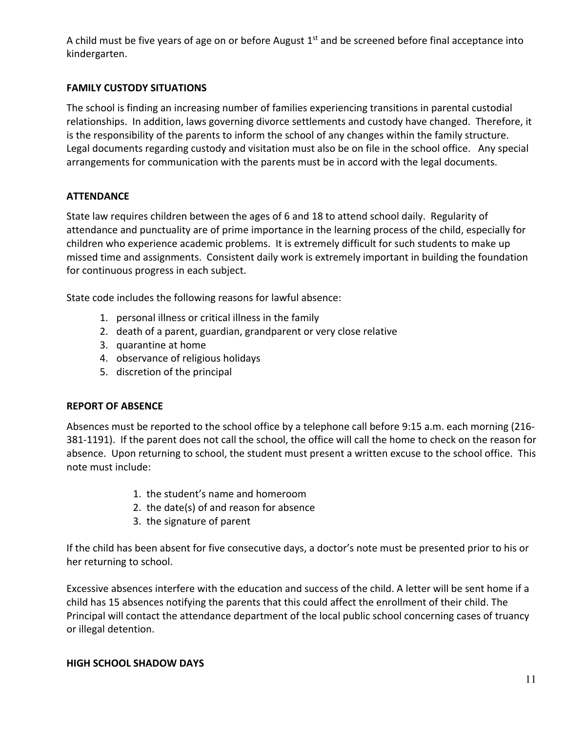A child must be five years of age on or before August  $1<sup>st</sup>$  and be screened before final acceptance into kindergarten.

## **FAMILY CUSTODY SITUATIONS**

The school is finding an increasing number of families experiencing transitions in parental custodial relationships. In addition, laws governing divorce settlements and custody have changed. Therefore, it is the responsibility of the parents to inform the school of any changes within the family structure. Legal documents regarding custody and visitation must also be on file in the school office. Any special arrangements for communication with the parents must be in accord with the legal documents.

## **ATTENDANCE**

State law requires children between the ages of 6 and 18 to attend school daily. Regularity of attendance and punctuality are of prime importance in the learning process of the child, especially for children who experience academic problems. It is extremely difficult for such students to make up missed time and assignments. Consistent daily work is extremely important in building the foundation for continuous progress in each subject.

State code includes the following reasons for lawful absence:

- 1. personal illness or critical illness in the family
- 2. death of a parent, guardian, grandparent or very close relative
- 3. quarantine at home
- 4. observance of religious holidays
- 5. discretion of the principal

## **REPORT OF ABSENCE**

Absences must be reported to the school office by a telephone call before 9:15 a.m. each morning (216- 381-1191). If the parent does not call the school, the office will call the home to check on the reason for absence. Upon returning to school, the student must present a written excuse to the school office. This note must include:

- 1. the student's name and homeroom
- 2. the date(s) of and reason for absence
- 3. the signature of parent

If the child has been absent for five consecutive days, a doctor's note must be presented prior to his or her returning to school.

Excessive absences interfere with the education and success of the child. A letter will be sent home if a child has 15 absences notifying the parents that this could affect the enrollment of their child. The Principal will contact the attendance department of the local public school concerning cases of truancy or illegal detention.

## **HIGH SCHOOL SHADOW DAYS**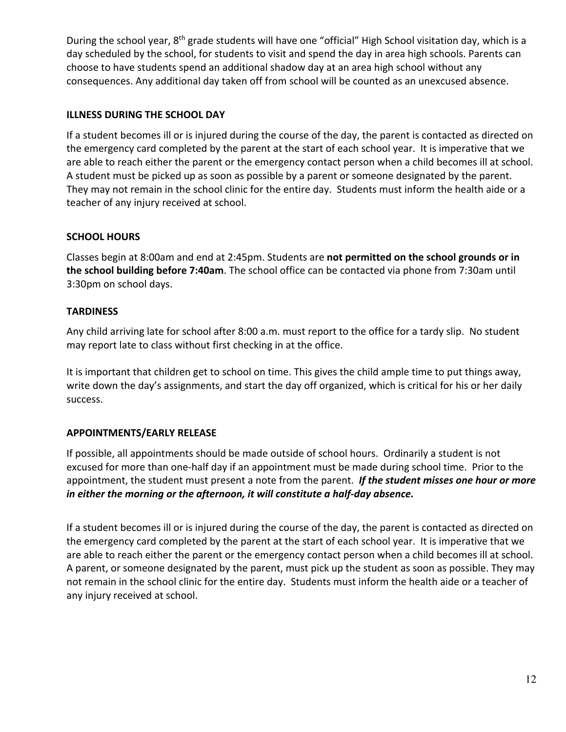During the school year, 8<sup>th</sup> grade students will have one "official" High School visitation day, which is a day scheduled by the school, for students to visit and spend the day in area high schools. Parents can choose to have students spend an additional shadow day at an area high school without any consequences. Any additional day taken off from school will be counted as an unexcused absence.

## **ILLNESS DURING THE SCHOOL DAY**

If a student becomes ill or is injured during the course of the day, the parent is contacted as directed on the emergency card completed by the parent at the start of each school year. It is imperative that we are able to reach either the parent or the emergency contact person when a child becomes ill at school. A student must be picked up as soon as possible by a parent or someone designated by the parent. They may not remain in the school clinic for the entire day. Students must inform the health aide or a teacher of any injury received at school.

## **SCHOOL HOURS**

Classes begin at 8:00am and end at 2:45pm. Students are **not permitted on the school grounds or in the school building before 7:40am**. The school office can be contacted via phone from 7:30am until 3:30pm on school days.

## **TARDINESS**

Any child arriving late for school after 8:00 a.m. must report to the office for a tardy slip. No student may report late to class without first checking in at the office.

It is important that children get to school on time. This gives the child ample time to put things away, write down the day's assignments, and start the day off organized, which is critical for his or her daily success.

## **APPOINTMENTS/EARLY RELEASE**

If possible, all appointments should be made outside of school hours. Ordinarily a student is not excused for more than one-half day if an appointment must be made during school time. Prior to the appointment, the student must present a note from the parent. *If the student misses one hour or more in either the morning or the afternoon, it will constitute a half-day absence.*

If a student becomes ill or is injured during the course of the day, the parent is contacted as directed on the emergency card completed by the parent at the start of each school year. It is imperative that we are able to reach either the parent or the emergency contact person when a child becomes ill at school. A parent, or someone designated by the parent, must pick up the student as soon as possible. They may not remain in the school clinic for the entire day. Students must inform the health aide or a teacher of any injury received at school.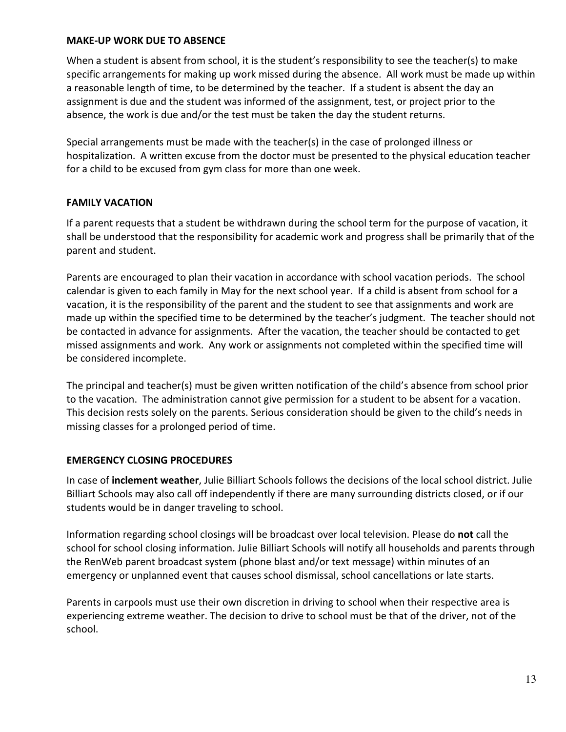## **MAKE-UP WORK DUE TO ABSENCE**

When a student is absent from school, it is the student's responsibility to see the teacher(s) to make specific arrangements for making up work missed during the absence. All work must be made up within a reasonable length of time, to be determined by the teacher. If a student is absent the day an assignment is due and the student was informed of the assignment, test, or project prior to the absence, the work is due and/or the test must be taken the day the student returns.

Special arrangements must be made with the teacher(s) in the case of prolonged illness or hospitalization. A written excuse from the doctor must be presented to the physical education teacher for a child to be excused from gym class for more than one week.

## **FAMILY VACATION**

If a parent requests that a student be withdrawn during the school term for the purpose of vacation, it shall be understood that the responsibility for academic work and progress shall be primarily that of the parent and student.

Parents are encouraged to plan their vacation in accordance with school vacation periods. The school calendar is given to each family in May for the next school year. If a child is absent from school for a vacation, it is the responsibility of the parent and the student to see that assignments and work are made up within the specified time to be determined by the teacher's judgment. The teacher should not be contacted in advance for assignments. After the vacation, the teacher should be contacted to get missed assignments and work. Any work or assignments not completed within the specified time will be considered incomplete.

The principal and teacher(s) must be given written notification of the child's absence from school prior to the vacation. The administration cannot give permission for a student to be absent for a vacation. This decision rests solely on the parents. Serious consideration should be given to the child's needs in missing classes for a prolonged period of time.

## **EMERGENCY CLOSING PROCEDURES**

In case of **inclement weather**, Julie Billiart Schools follows the decisions of the local school district. Julie Billiart Schools may also call off independently if there are many surrounding districts closed, or if our students would be in danger traveling to school.

Information regarding school closings will be broadcast over local television. Please do **not** call the school for school closing information. Julie Billiart Schools will notify all households and parents through the RenWeb parent broadcast system (phone blast and/or text message) within minutes of an emergency or unplanned event that causes school dismissal, school cancellations or late starts.

Parents in carpools must use their own discretion in driving to school when their respective area is experiencing extreme weather. The decision to drive to school must be that of the driver, not of the school.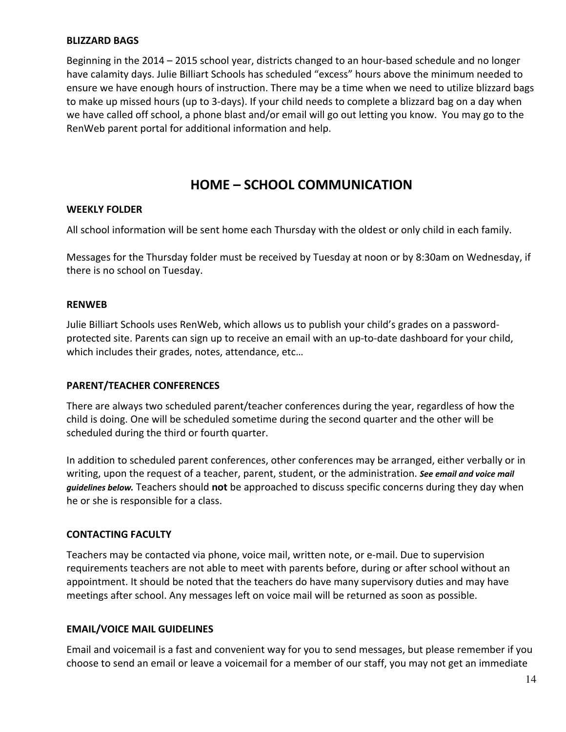## **BLIZZARD BAGS**

Beginning in the 2014 – 2015 school year, districts changed to an hour-based schedule and no longer have calamity days. Julie Billiart Schools has scheduled "excess" hours above the minimum needed to ensure we have enough hours of instruction. There may be a time when we need to utilize blizzard bags to make up missed hours (up to 3-days). If your child needs to complete a blizzard bag on a day when we have called off school, a phone blast and/or email will go out letting you know. You may go to the RenWeb parent portal for additional information and help.

## **HOME – SCHOOL COMMUNICATION**

#### **WEEKLY FOLDER**

All school information will be sent home each Thursday with the oldest or only child in each family.

Messages for the Thursday folder must be received by Tuesday at noon or by 8:30am on Wednesday, if there is no school on Tuesday.

#### **RENWEB**

Julie Billiart Schools uses RenWeb, which allows us to publish your child's grades on a passwordprotected site. Parents can sign up to receive an email with an up-to-date dashboard for your child, which includes their grades, notes, attendance, etc…

## **PARENT/TEACHER CONFERENCES**

There are always two scheduled parent/teacher conferences during the year, regardless of how the child is doing. One will be scheduled sometime during the second quarter and the other will be scheduled during the third or fourth quarter.

In addition to scheduled parent conferences, other conferences may be arranged, either verbally or in writing, upon the request of a teacher, parent, student, or the administration. *See email and voice mail guidelines below.* Teachers should **not** be approached to discuss specific concerns during they day when he or she is responsible for a class.

## **CONTACTING FACULTY**

Teachers may be contacted via phone, voice mail, written note, or e-mail. Due to supervision requirements teachers are not able to meet with parents before, during or after school without an appointment. It should be noted that the teachers do have many supervisory duties and may have meetings after school. Any messages left on voice mail will be returned as soon as possible.

## **EMAIL/VOICE MAIL GUIDELINES**

Email and voicemail is a fast and convenient way for you to send messages, but please remember if you choose to send an email or leave a voicemail for a member of our staff, you may not get an immediate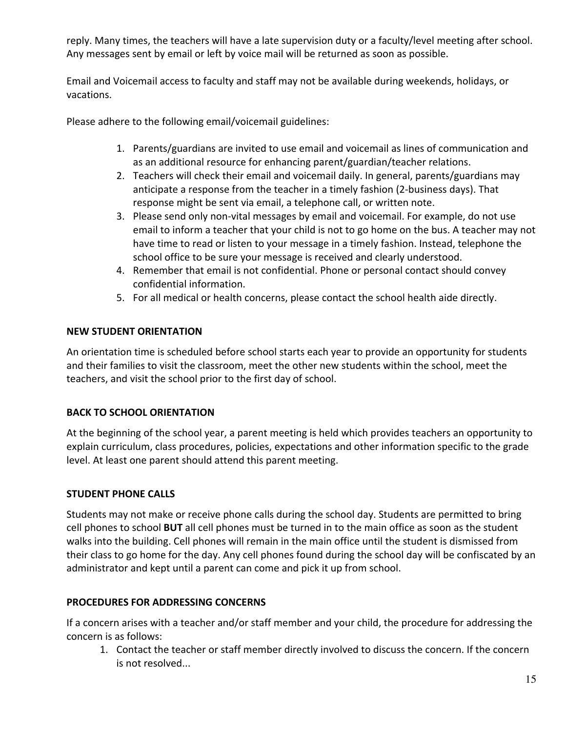reply. Many times, the teachers will have a late supervision duty or a faculty/level meeting after school. Any messages sent by email or left by voice mail will be returned as soon as possible.

Email and Voicemail access to faculty and staff may not be available during weekends, holidays, or vacations.

Please adhere to the following email/voicemail guidelines:

- 1. Parents/guardians are invited to use email and voicemail as lines of communication and as an additional resource for enhancing parent/guardian/teacher relations.
- 2. Teachers will check their email and voicemail daily. In general, parents/guardians may anticipate a response from the teacher in a timely fashion (2-business days). That response might be sent via email, a telephone call, or written note.
- 3. Please send only non-vital messages by email and voicemail. For example, do not use email to inform a teacher that your child is not to go home on the bus. A teacher may not have time to read or listen to your message in a timely fashion. Instead, telephone the school office to be sure your message is received and clearly understood.
- 4. Remember that email is not confidential. Phone or personal contact should convey confidential information.
- 5. For all medical or health concerns, please contact the school health aide directly.

## **NEW STUDENT ORIENTATION**

An orientation time is scheduled before school starts each year to provide an opportunity for students and their families to visit the classroom, meet the other new students within the school, meet the teachers, and visit the school prior to the first day of school.

## **BACK TO SCHOOL ORIENTATION**

At the beginning of the school year, a parent meeting is held which provides teachers an opportunity to explain curriculum, class procedures, policies, expectations and other information specific to the grade level. At least one parent should attend this parent meeting.

## **STUDENT PHONE CALLS**

Students may not make or receive phone calls during the school day. Students are permitted to bring cell phones to school **BUT** all cell phones must be turned in to the main office as soon as the student walks into the building. Cell phones will remain in the main office until the student is dismissed from their class to go home for the day. Any cell phones found during the school day will be confiscated by an administrator and kept until a parent can come and pick it up from school.

## **PROCEDURES FOR ADDRESSING CONCERNS**

If a concern arises with a teacher and/or staff member and your child, the procedure for addressing the concern is as follows:

1. Contact the teacher or staff member directly involved to discuss the concern. If the concern is not resolved...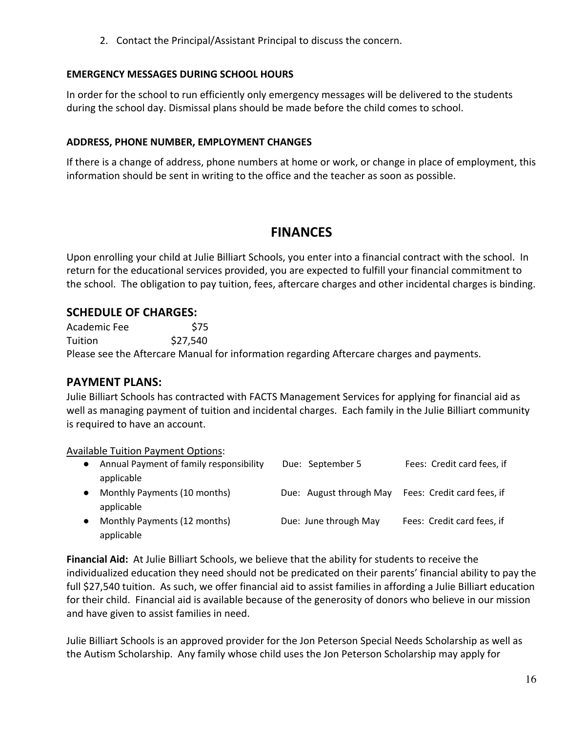2. Contact the Principal/Assistant Principal to discuss the concern.

## **EMERGENCY MESSAGES DURING SCHOOL HOURS**

In order for the school to run efficiently only emergency messages will be delivered to the students during the school day. Dismissal plans should be made before the child comes to school.

## **ADDRESS, PHONE NUMBER, EMPLOYMENT CHANGES**

If there is a change of address, phone numbers at home or work, or change in place of employment, this information should be sent in writing to the office and the teacher as soon as possible.

# **FINANCES**

Upon enrolling your child at Julie Billiart Schools, you enter into a financial contract with the school. In return for the educational services provided, you are expected to fulfill your financial commitment to the school. The obligation to pay tuition, fees, aftercare charges and other incidental charges is binding.

## **SCHEDULE OF CHARGES:**

Academic Fee \$75 Tuition \$27,540 Please see the Aftercare Manual for information regarding Aftercare charges and payments.

## **PAYMENT PLANS:**

Julie Billiart Schools has contracted with FACTS Management Services for applying for financial aid as well as managing payment of tuition and incidental charges. Each family in the Julie Billiart community is required to have an account.

Available Tuition Payment Options:

| $\bullet$ | Annual Payment of family responsibility    | Due: September 5        | Fees: Credit card fees, if |
|-----------|--------------------------------------------|-------------------------|----------------------------|
|           | applicable                                 |                         |                            |
| $\bullet$ | Monthly Payments (10 months)<br>applicable | Due: August through May | Fees: Credit card fees, if |
| $\bullet$ | Monthly Payments (12 months)<br>applicable | Due: June through May   | Fees: Credit card fees, if |

**Financial Aid:** At Julie Billiart Schools, we believe that the ability for students to receive the individualized education they need should not be predicated on their parents' financial ability to pay the full \$27,540 tuition. As such, we offer financial aid to assist families in affording a Julie Billiart education for their child. Financial aid is available because of the generosity of donors who believe in our mission and have given to assist families in need.

Julie Billiart Schools is an approved provider for the Jon Peterson Special Needs Scholarship as well as the Autism Scholarship. Any family whose child uses the Jon Peterson Scholarship may apply for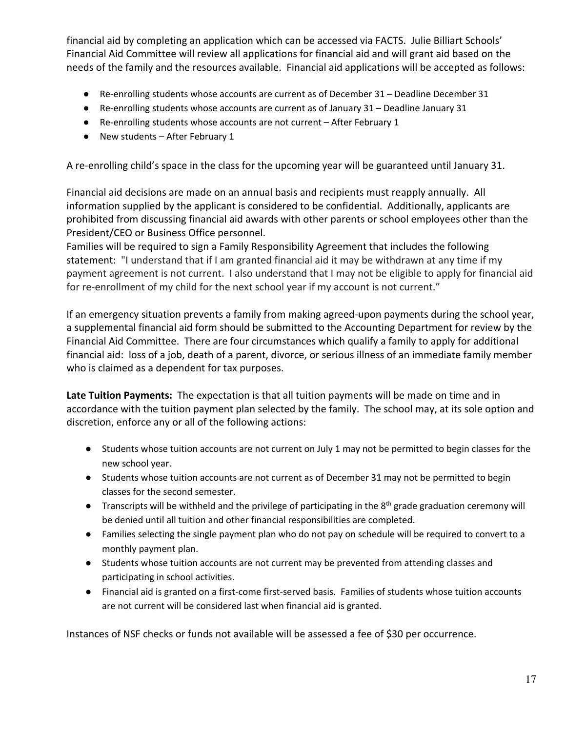financial aid by completing an application which can be accessed via FACTS. Julie Billiart Schools' Financial Aid Committee will review all applications for financial aid and will grant aid based on the needs of the family and the resources available. Financial aid applications will be accepted as follows:

- Re-enrolling students whose accounts are current as of December 31 Deadline December 31
- Re-enrolling students whose accounts are current as of January 31 Deadline January 31
- Re-enrolling students whose accounts are not current After February 1
- New students After February 1

A re-enrolling child's space in the class for the upcoming year will be guaranteed until January 31.

Financial aid decisions are made on an annual basis and recipients must reapply annually. All information supplied by the applicant is considered to be confidential. Additionally, applicants are prohibited from discussing financial aid awards with other parents or school employees other than the President/CEO or Business Office personnel.

Families will be required to sign a Family Responsibility Agreement that includes the following statement: "I understand that if I am granted financial aid it may be withdrawn at any time if my payment agreement is not current. I also understand that I may not be eligible to apply for financial aid for re-enrollment of my child for the next school year if my account is not current."

If an emergency situation prevents a family from making agreed-upon payments during the school year, a supplemental financial aid form should be submitted to the Accounting Department for review by the Financial Aid Committee. There are four circumstances which qualify a family to apply for additional financial aid: loss of a job, death of a parent, divorce, or serious illness of an immediate family member who is claimed as a dependent for tax purposes.

**Late Tuition Payments:** The expectation is that all tuition payments will be made on time and in accordance with the tuition payment plan selected by the family. The school may, at its sole option and discretion, enforce any or all of the following actions:

- Students whose tuition accounts are not current on July 1 may not be permitted to begin classes for the new school year.
- Students whose tuition accounts are not current as of December 31 may not be permitted to begin classes for the second semester.
- Transcripts will be withheld and the privilege of participating in the 8<sup>th</sup> grade graduation ceremony will be denied until all tuition and other financial responsibilities are completed.
- Families selecting the single payment plan who do not pay on schedule will be required to convert to a monthly payment plan.
- Students whose tuition accounts are not current may be prevented from attending classes and participating in school activities.
- Financial aid is granted on a first-come first-served basis. Families of students whose tuition accounts are not current will be considered last when financial aid is granted.

Instances of NSF checks or funds not available will be assessed a fee of \$30 per occurrence.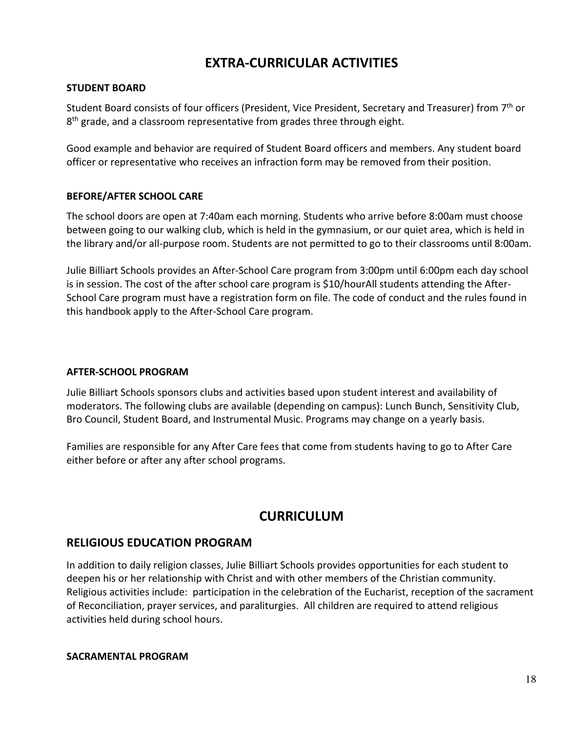# **EXTRA-CURRICULAR ACTIVITIES**

## **STUDENT BOARD**

Student Board consists of four officers (President, Vice President, Secretary and Treasurer) from 7th or  $8<sup>th</sup>$  grade, and a classroom representative from grades three through eight.

Good example and behavior are required of Student Board officers and members. Any student board officer or representative who receives an infraction form may be removed from their position.

## **BEFORE/AFTER SCHOOL CARE**

The school doors are open at 7:40am each morning. Students who arrive before 8:00am must choose between going to our walking club, which is held in the gymnasium, or our quiet area, which is held in the library and/or all-purpose room. Students are not permitted to go to their classrooms until 8:00am.

Julie Billiart Schools provides an After-School Care program from 3:00pm until 6:00pm each day school is in session. The cost of the after school care program is \$10/hourAll students attending the After-School Care program must have a registration form on file. The code of conduct and the rules found in this handbook apply to the After-School Care program.

## **AFTER-SCHOOL PROGRAM**

Julie Billiart Schools sponsors clubs and activities based upon student interest and availability of moderators. The following clubs are available (depending on campus): Lunch Bunch, Sensitivity Club, Bro Council, Student Board, and Instrumental Music. Programs may change on a yearly basis.

Families are responsible for any After Care fees that come from students having to go to After Care either before or after any after school programs.

# **CURRICULUM**

## **RELIGIOUS EDUCATION PROGRAM**

In addition to daily religion classes, Julie Billiart Schools provides opportunities for each student to deepen his or her relationship with Christ and with other members of the Christian community. Religious activities include: participation in the celebration of the Eucharist, reception of the sacrament of Reconciliation, prayer services, and paraliturgies. All children are required to attend religious activities held during school hours.

## **SACRAMENTAL PROGRAM**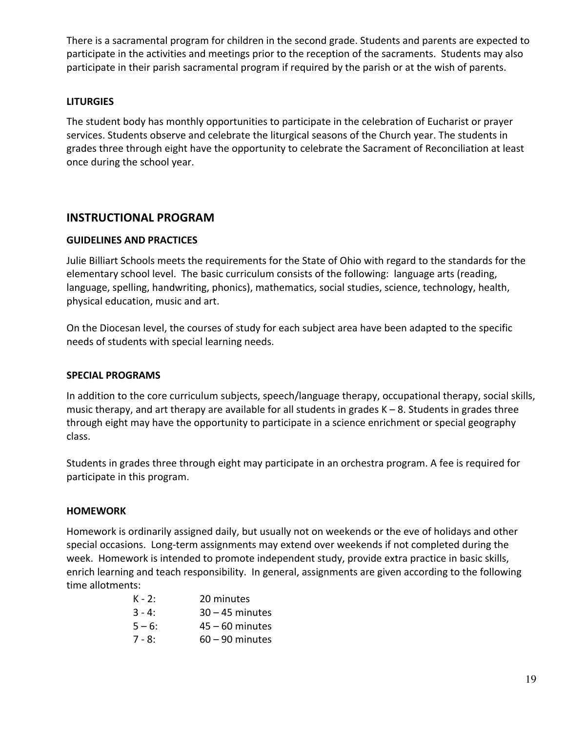There is a sacramental program for children in the second grade. Students and parents are expected to participate in the activities and meetings prior to the reception of the sacraments. Students may also participate in their parish sacramental program if required by the parish or at the wish of parents.

## **LITURGIES**

The student body has monthly opportunities to participate in the celebration of Eucharist or prayer services. Students observe and celebrate the liturgical seasons of the Church year. The students in grades three through eight have the opportunity to celebrate the Sacrament of Reconciliation at least once during the school year.

## **INSTRUCTIONAL PROGRAM**

## **GUIDELINES AND PRACTICES**

Julie Billiart Schools meets the requirements for the State of Ohio with regard to the standards for the elementary school level. The basic curriculum consists of the following: language arts (reading, language, spelling, handwriting, phonics), mathematics, social studies, science, technology, health, physical education, music and art.

On the Diocesan level, the courses of study for each subject area have been adapted to the specific needs of students with special learning needs.

## **SPECIAL PROGRAMS**

In addition to the core curriculum subjects, speech/language therapy, occupational therapy, social skills, music therapy, and art therapy are available for all students in grades K – 8. Students in grades three through eight may have the opportunity to participate in a science enrichment or special geography class.

Students in grades three through eight may participate in an orchestra program. A fee is required for participate in this program.

## **HOMEWORK**

Homework is ordinarily assigned daily, but usually not on weekends or the eve of holidays and other special occasions. Long-term assignments may extend over weekends if not completed during the week. Homework is intended to promote independent study, provide extra practice in basic skills, enrich learning and teach responsibility. In general, assignments are given according to the following time allotments:

| $K - 2:$  | 20 minutes        |
|-----------|-------------------|
| $3 - 4:$  | $30 - 45$ minutes |
| $5 - 6$ : | $45 - 60$ minutes |
| $7 - 8:$  | $60 - 90$ minutes |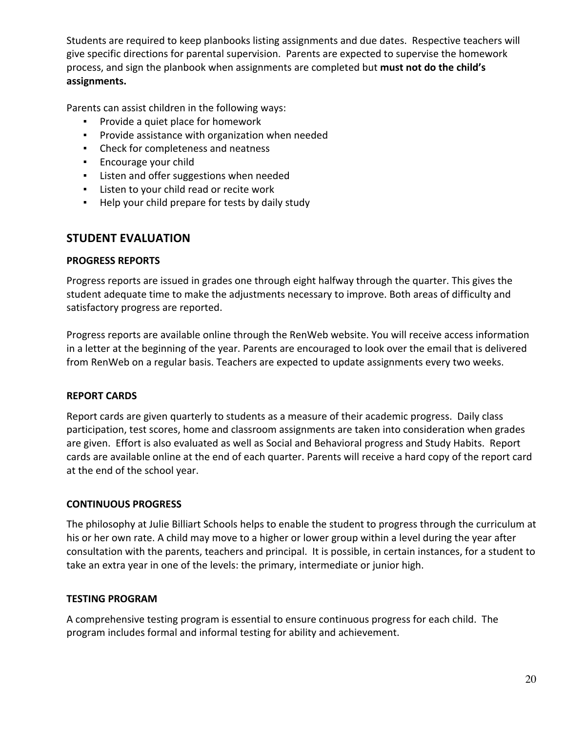Students are required to keep planbooks listing assignments and due dates. Respective teachers will give specific directions for parental supervision. Parents are expected to supervise the homework process, and sign the planbook when assignments are completed but **must not do the child's assignments.**

Parents can assist children in the following ways:

- Provide a quiet place for homework
- Provide assistance with organization when needed
- Check for completeness and neatness
- Encourage your child
- Listen and offer suggestions when needed
- Listen to your child read or recite work
- Help your child prepare for tests by daily study

## **STUDENT EVALUATION**

## **PROGRESS REPORTS**

Progress reports are issued in grades one through eight halfway through the quarter. This gives the student adequate time to make the adjustments necessary to improve. Both areas of difficulty and satisfactory progress are reported.

Progress reports are available online through the RenWeb website. You will receive access information in a letter at the beginning of the year. Parents are encouraged to look over the email that is delivered from RenWeb on a regular basis. Teachers are expected to update assignments every two weeks.

## **REPORT CARDS**

Report cards are given quarterly to students as a measure of their academic progress. Daily class participation, test scores, home and classroom assignments are taken into consideration when grades are given. Effort is also evaluated as well as Social and Behavioral progress and Study Habits. Report cards are available online at the end of each quarter. Parents will receive a hard copy of the report card at the end of the school year.

## **CONTINUOUS PROGRESS**

The philosophy at Julie Billiart Schools helps to enable the student to progress through the curriculum at his or her own rate. A child may move to a higher or lower group within a level during the year after consultation with the parents, teachers and principal. It is possible, in certain instances, for a student to take an extra year in one of the levels: the primary, intermediate or junior high.

## **TESTING PROGRAM**

A comprehensive testing program is essential to ensure continuous progress for each child. The program includes formal and informal testing for ability and achievement.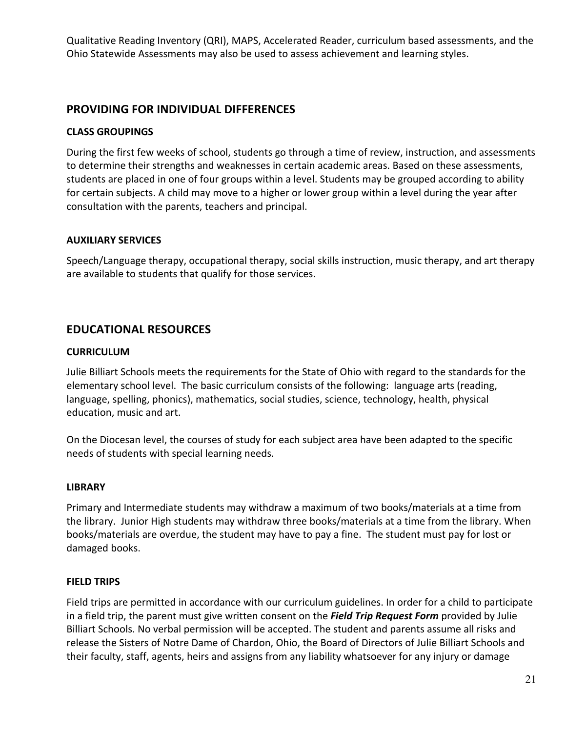Qualitative Reading Inventory (QRI), MAPS, Accelerated Reader, curriculum based assessments, and the Ohio Statewide Assessments may also be used to assess achievement and learning styles.

## **PROVIDING FOR INDIVIDUAL DIFFERENCES**

## **CLASS GROUPINGS**

During the first few weeks of school, students go through a time of review, instruction, and assessments to determine their strengths and weaknesses in certain academic areas. Based on these assessments, students are placed in one of four groups within a level. Students may be grouped according to ability for certain subjects. A child may move to a higher or lower group within a level during the year after consultation with the parents, teachers and principal.

## **AUXILIARY SERVICES**

Speech/Language therapy, occupational therapy, social skills instruction, music therapy, and art therapy are available to students that qualify for those services.

## **EDUCATIONAL RESOURCES**

## **CURRICULUM**

Julie Billiart Schools meets the requirements for the State of Ohio with regard to the standards for the elementary school level. The basic curriculum consists of the following: language arts (reading, language, spelling, phonics), mathematics, social studies, science, technology, health, physical education, music and art.

On the Diocesan level, the courses of study for each subject area have been adapted to the specific needs of students with special learning needs.

## **LIBRARY**

Primary and Intermediate students may withdraw a maximum of two books/materials at a time from the library. Junior High students may withdraw three books/materials at a time from the library. When books/materials are overdue, the student may have to pay a fine. The student must pay for lost or damaged books.

## **FIELD TRIPS**

Field trips are permitted in accordance with our curriculum guidelines. In order for a child to participate in a field trip, the parent must give written consent on the *Field Trip Request Form* provided by Julie Billiart Schools. No verbal permission will be accepted. The student and parents assume all risks and release the Sisters of Notre Dame of Chardon, Ohio, the Board of Directors of Julie Billiart Schools and their faculty, staff, agents, heirs and assigns from any liability whatsoever for any injury or damage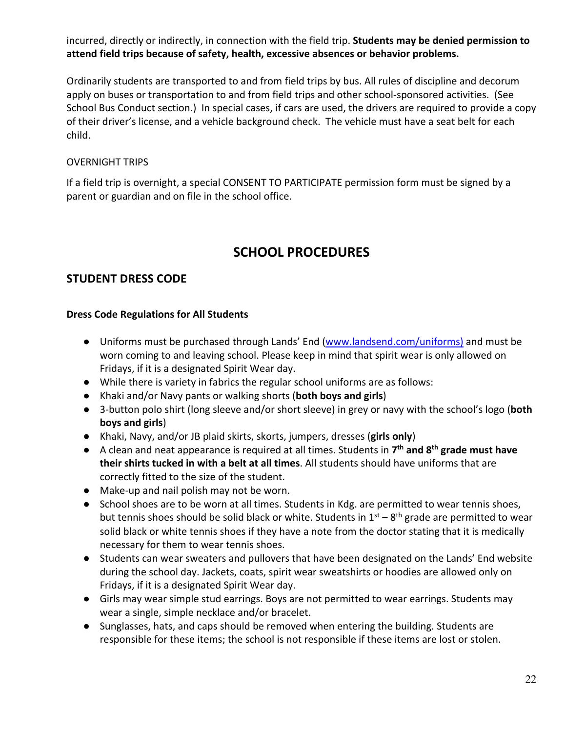incurred, directly or indirectly, in connection with the field trip. **Students may be denied permission to attend field trips because of safety, health, excessive absences or behavior problems.**

Ordinarily students are transported to and from field trips by bus. All rules of discipline and decorum apply on buses or transportation to and from field trips and other school-sponsored activities. (See School Bus Conduct section.) In special cases, if cars are used, the drivers are required to provide a copy of their driver's license, and a vehicle background check. The vehicle must have a seat belt for each child.

## OVERNIGHT TRIPS

If a field trip is overnight, a special CONSENT TO PARTICIPATE permission form must be signed by a parent or guardian and on file in the school office.

# **SCHOOL PROCEDURES**

## **STUDENT DRESS CODE**

## **Dress Code Regulations for All Students**

- Uniforms must be purchased through Lands' End (www.landsend.com/uniforms) and must be worn coming to and leaving school. Please keep in mind that spirit wear is only allowed on Fridays, if it is a designated Spirit Wear day.
- While there is variety in fabrics the regular school uniforms are as follows:
- Khaki and/or Navy pants or walking shorts (**both boys and girls**)
- 3-button polo shirt (long sleeve and/or short sleeve) in grey or navy with the school's logo (**both boys and girls**)
- Khaki, Navy, and/or JB plaid skirts, skorts, jumpers, dresses (**girls only**)
- A clean and neat appearance is required at all times. Students in **7th and 8th grade must have their shirts tucked in with a belt at all times**. All students should have uniforms that are correctly fitted to the size of the student.
- Make-up and nail polish may not be worn.
- School shoes are to be worn at all times. Students in Kdg. are permitted to wear tennis shoes, but tennis shoes should be solid black or white. Students in  $1<sup>st</sup> - 8<sup>th</sup>$  grade are permitted to wear solid black or white tennis shoes if they have a note from the doctor stating that it is medically necessary for them to wear tennis shoes.
- Students can wear sweaters and pullovers that have been designated on the Lands' End website during the school day. Jackets, coats, spirit wear sweatshirts or hoodies are allowed only on Fridays, if it is a designated Spirit Wear day.
- Girls may wear simple stud earrings. Boys are not permitted to wear earrings. Students may wear a single, simple necklace and/or bracelet.
- Sunglasses, hats, and caps should be removed when entering the building. Students are responsible for these items; the school is not responsible if these items are lost or stolen.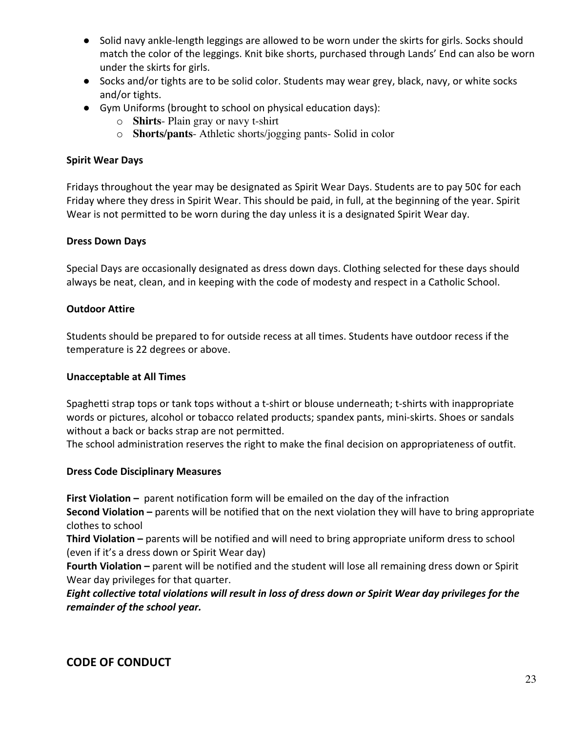- Solid navy ankle-length leggings are allowed to be worn under the skirts for girls. Socks should match the color of the leggings. Knit bike shorts, purchased through Lands' End can also be worn under the skirts for girls.
- Socks and/or tights are to be solid color. Students may wear grey, black, navy, or white socks and/or tights.
- Gym Uniforms (brought to school on physical education days):
	- o **Shirts** Plain gray or navy t-shirt
	- o **Shorts/pants** Athletic shorts/jogging pants- Solid in color

## **Spirit Wear Days**

Fridays throughout the year may be designated as Spirit Wear Days. Students are to pay 50¢ for each Friday where they dress in Spirit Wear. This should be paid, in full, at the beginning of the year. Spirit Wear is not permitted to be worn during the day unless it is a designated Spirit Wear day.

## **Dress Down Days**

Special Days are occasionally designated as dress down days. Clothing selected for these days should always be neat, clean, and in keeping with the code of modesty and respect in a Catholic School.

## **Outdoor Attire**

Students should be prepared to for outside recess at all times. Students have outdoor recess if the temperature is 22 degrees or above.

## **Unacceptable at All Times**

Spaghetti strap tops or tank tops without a t-shirt or blouse underneath; t-shirts with inappropriate words or pictures, alcohol or tobacco related products; spandex pants, mini-skirts. Shoes or sandals without a back or backs strap are not permitted.

The school administration reserves the right to make the final decision on appropriateness of outfit.

## **Dress Code Disciplinary Measures**

**First Violation –** parent notification form will be emailed on the day of the infraction

**Second Violation –** parents will be notified that on the next violation they will have to bring appropriate clothes to school

**Third Violation –** parents will be notified and will need to bring appropriate uniform dress to school (even if it's a dress down or Spirit Wear day)

**Fourth Violation –** parent will be notified and the student will lose all remaining dress down or Spirit Wear day privileges for that quarter.

*Eight collective total violations will result in loss of dress down or Spirit Wear day privileges for the remainder of the school year.*

## **CODE OF CONDUCT**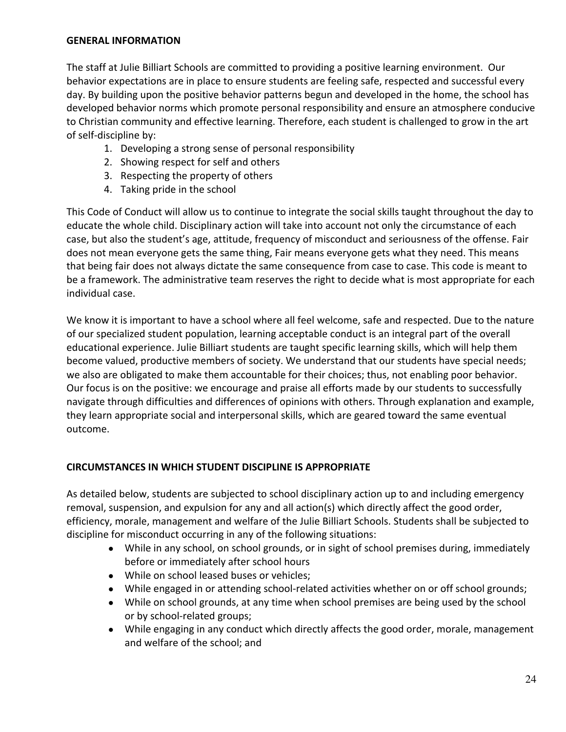## **GENERAL INFORMATION**

The staff at Julie Billiart Schools are committed to providing a positive learning environment. Our behavior expectations are in place to ensure students are feeling safe, respected and successful every day. By building upon the positive behavior patterns begun and developed in the home, the school has developed behavior norms which promote personal responsibility and ensure an atmosphere conducive to Christian community and effective learning. Therefore, each student is challenged to grow in the art of self-discipline by:

- 1. Developing a strong sense of personal responsibility
- 2. Showing respect for self and others
- 3. Respecting the property of others
- 4. Taking pride in the school

This Code of Conduct will allow us to continue to integrate the social skills taught throughout the day to educate the whole child. Disciplinary action will take into account not only the circumstance of each case, but also the student's age, attitude, frequency of misconduct and seriousness of the offense. Fair does not mean everyone gets the same thing, Fair means everyone gets what they need. This means that being fair does not always dictate the same consequence from case to case. This code is meant to be a framework. The administrative team reserves the right to decide what is most appropriate for each individual case.

We know it is important to have a school where all feel welcome, safe and respected. Due to the nature of our specialized student population, learning acceptable conduct is an integral part of the overall educational experience. Julie Billiart students are taught specific learning skills, which will help them become valued, productive members of society. We understand that our students have special needs; we also are obligated to make them accountable for their choices; thus, not enabling poor behavior. Our focus is on the positive: we encourage and praise all efforts made by our students to successfully navigate through difficulties and differences of opinions with others. Through explanation and example, they learn appropriate social and interpersonal skills, which are geared toward the same eventual outcome.

## **CIRCUMSTANCES IN WHICH STUDENT DISCIPLINE IS APPROPRIATE**

As detailed below, students are subjected to school disciplinary action up to and including emergency removal, suspension, and expulsion for any and all action(s) which directly affect the good order, efficiency, morale, management and welfare of the Julie Billiart Schools. Students shall be subjected to discipline for misconduct occurring in any of the following situations:

- While in any school, on school grounds, or in sight of school premises during, immediately before or immediately after school hours
- While on school leased buses or vehicles;
- While engaged in or attending school-related activities whether on or off school grounds;
- While on school grounds, at any time when school premises are being used by the school or by school-related groups;
- While engaging in any conduct which directly affects the good order, morale, management and welfare of the school; and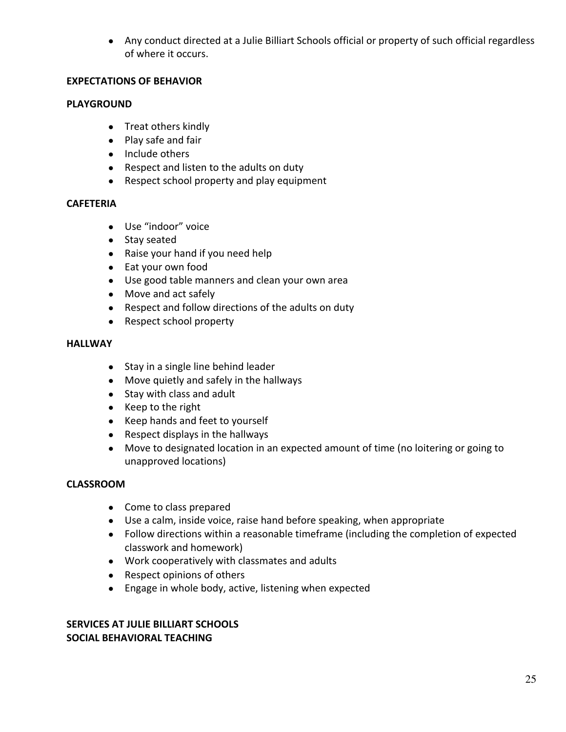● Any conduct directed at a Julie Billiart Schools official or property of such official regardless of where it occurs.

## **EXPECTATIONS OF BEHAVIOR**

## **PLAYGROUND**

- Treat others kindly
- Play safe and fair
- Include others
- Respect and listen to the adults on duty
- Respect school property and play equipment

## **CAFETERIA**

- Use "indoor" voice
- Stay seated
- Raise your hand if you need help
- Eat your own food
- Use good table manners and clean your own area
- Move and act safely
- Respect and follow directions of the adults on duty
- Respect school property

## **HALLWAY**

- Stay in a single line behind leader
- Move quietly and safely in the hallways
- Stay with class and adult
- Keep to the right
- Keep hands and feet to yourself
- Respect displays in the hallways
- Move to designated location in an expected amount of time (no loitering or going to unapproved locations)

## **CLASSROOM**

- Come to class prepared
- Use a calm, inside voice, raise hand before speaking, when appropriate
- Follow directions within a reasonable timeframe (including the completion of expected classwork and homework)
- Work cooperatively with classmates and adults
- Respect opinions of others
- Engage in whole body, active, listening when expected

## **SERVICES AT JULIE BILLIART SCHOOLS SOCIAL BEHAVIORAL TEACHING**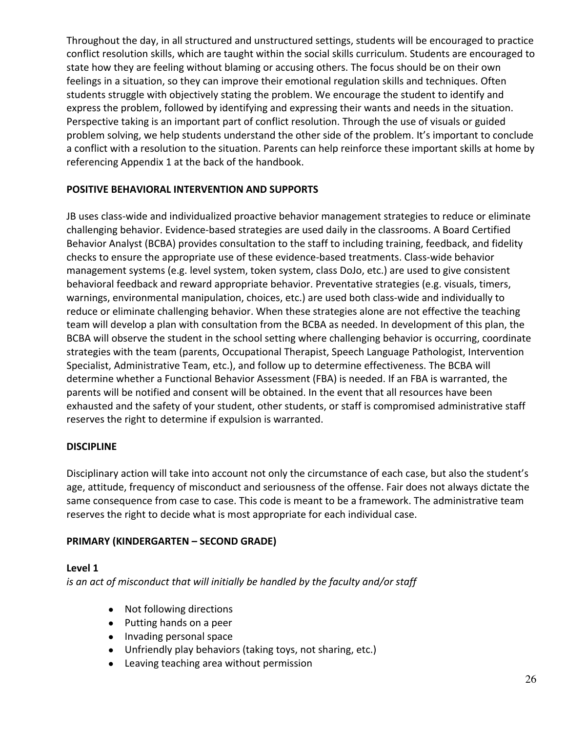Throughout the day, in all structured and unstructured settings, students will be encouraged to practice conflict resolution skills, which are taught within the social skills curriculum. Students are encouraged to state how they are feeling without blaming or accusing others. The focus should be on their own feelings in a situation, so they can improve their emotional regulation skills and techniques. Often students struggle with objectively stating the problem. We encourage the student to identify and express the problem, followed by identifying and expressing their wants and needs in the situation. Perspective taking is an important part of conflict resolution. Through the use of visuals or guided problem solving, we help students understand the other side of the problem. It's important to conclude a conflict with a resolution to the situation. Parents can help reinforce these important skills at home by referencing Appendix 1 at the back of the handbook.

## **POSITIVE BEHAVIORAL INTERVENTION AND SUPPORTS**

JB uses class-wide and individualized proactive behavior management strategies to reduce or eliminate challenging behavior. Evidence-based strategies are used daily in the classrooms. A Board Certified Behavior Analyst (BCBA) provides consultation to the staff to including training, feedback, and fidelity checks to ensure the appropriate use of these evidence-based treatments. Class-wide behavior management systems (e.g. level system, token system, class DoJo, etc.) are used to give consistent behavioral feedback and reward appropriate behavior. Preventative strategies (e.g. visuals, timers, warnings, environmental manipulation, choices, etc.) are used both class-wide and individually to reduce or eliminate challenging behavior. When these strategies alone are not effective the teaching team will develop a plan with consultation from the BCBA as needed. In development of this plan, the BCBA will observe the student in the school setting where challenging behavior is occurring, coordinate strategies with the team (parents, Occupational Therapist, Speech Language Pathologist, Intervention Specialist, Administrative Team, etc.), and follow up to determine effectiveness. The BCBA will determine whether a Functional Behavior Assessment (FBA) is needed. If an FBA is warranted, the parents will be notified and consent will be obtained. In the event that all resources have been exhausted and the safety of your student, other students, or staff is compromised administrative staff reserves the right to determine if expulsion is warranted.

## **DISCIPLINE**

Disciplinary action will take into account not only the circumstance of each case, but also the student's age, attitude, frequency of misconduct and seriousness of the offense. Fair does not always dictate the same consequence from case to case. This code is meant to be a framework. The administrative team reserves the right to decide what is most appropriate for each individual case.

## **PRIMARY (KINDERGARTEN – SECOND GRADE)**

## **Level 1**

*is an act of misconduct that will initially be handled by the faculty and/or staff*

- Not following directions
- Putting hands on a peer
- Invading personal space
- Unfriendly play behaviors (taking toys, not sharing, etc.)
- Leaving teaching area without permission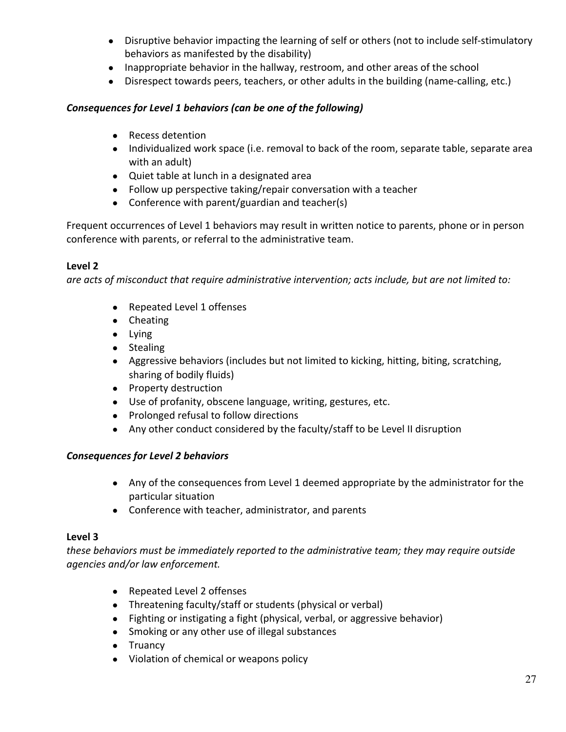- Disruptive behavior impacting the learning of self or others (not to include self-stimulatory behaviors as manifested by the disability)
- Inappropriate behavior in the hallway, restroom, and other areas of the school
- Disrespect towards peers, teachers, or other adults in the building (name-calling, etc.)

## *Consequences for Level 1 behaviors (can be one of the following)*

- Recess detention
- Individualized work space (i.e. removal to back of the room, separate table, separate area with an adult)
- Quiet table at lunch in a designated area
- Follow up perspective taking/repair conversation with a teacher
- Conference with parent/guardian and teacher(s)

Frequent occurrences of Level 1 behaviors may result in written notice to parents, phone or in person conference with parents, or referral to the administrative team.

## **Level 2**

*are acts of misconduct that require administrative intervention; acts include, but are not limited to:*

- Repeated Level 1 offenses
- Cheating
- Lying
- Stealing
- Aggressive behaviors (includes but not limited to kicking, hitting, biting, scratching, sharing of bodily fluids)
- Property destruction
- Use of profanity, obscene language, writing, gestures, etc.
- Prolonged refusal to follow directions
- Any other conduct considered by the faculty/staff to be Level II disruption

## *Consequences for Level 2 behaviors*

- Any of the consequences from Level 1 deemed appropriate by the administrator for the particular situation
- Conference with teacher, administrator, and parents

## **Level 3**

*these behaviors must be immediately reported to the administrative team; they may require outside agencies and/or law enforcement.*

- Repeated Level 2 offenses
- Threatening faculty/staff or students (physical or verbal)
- Fighting or instigating a fight (physical, verbal, or aggressive behavior)
- Smoking or any other use of illegal substances
- Truancy
- Violation of chemical or weapons policy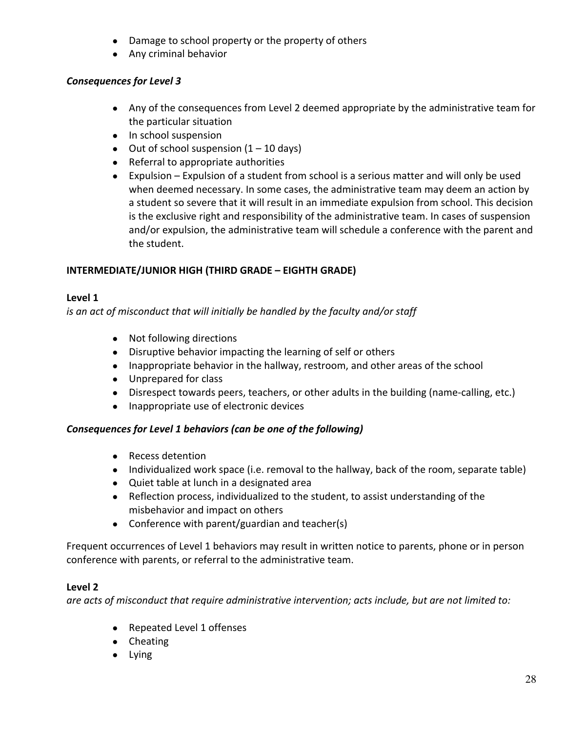- Damage to school property or the property of others
- Any criminal behavior

## *Consequences for Level 3*

- Any of the consequences from Level 2 deemed appropriate by the administrative team for the particular situation
- In school suspension
- Out of school suspension  $(1 10 \text{ days})$
- Referral to appropriate authorities
- Expulsion Expulsion of a student from school is a serious matter and will only be used when deemed necessary. In some cases, the administrative team may deem an action by a student so severe that it will result in an immediate expulsion from school. This decision is the exclusive right and responsibility of the administrative team. In cases of suspension and/or expulsion, the administrative team will schedule a conference with the parent and the student.

## **INTERMEDIATE/JUNIOR HIGH (THIRD GRADE – EIGHTH GRADE)**

## **Level 1**

*is an act of misconduct that will initially be handled by the faculty and/or staff*

- Not following directions
- Disruptive behavior impacting the learning of self or others
- Inappropriate behavior in the hallway, restroom, and other areas of the school
- Unprepared for class
- Disrespect towards peers, teachers, or other adults in the building (name-calling, etc.)
- Inappropriate use of electronic devices

## *Consequences for Level 1 behaviors (can be one of the following)*

- Recess detention
- Individualized work space (i.e. removal to the hallway, back of the room, separate table)
- Quiet table at lunch in a designated area
- Reflection process, individualized to the student, to assist understanding of the misbehavior and impact on others
- Conference with parent/guardian and teacher(s)

Frequent occurrences of Level 1 behaviors may result in written notice to parents, phone or in person conference with parents, or referral to the administrative team.

## **Level 2**

*are acts of misconduct that require administrative intervention; acts include, but are not limited to:*

- Repeated Level 1 offenses
- Cheating
- Lying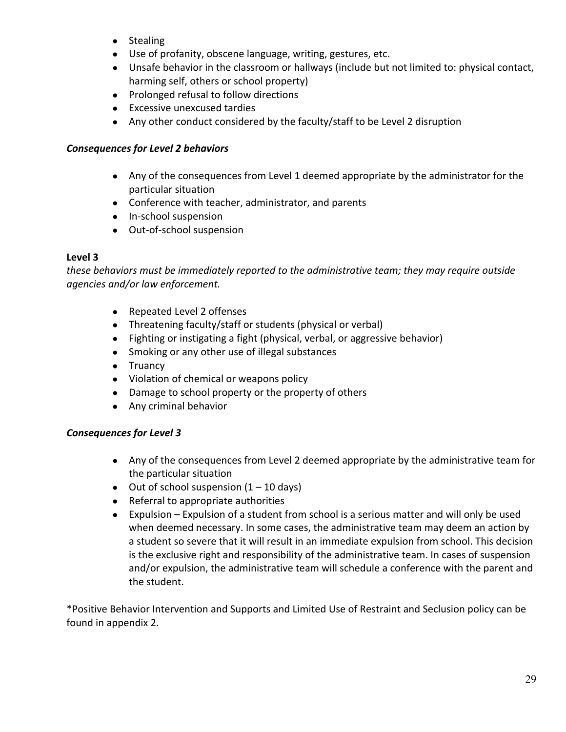- Stealing
- Use of profanity, obscene language, writing, gestures, etc.
- Unsafe behavior in the classroom or hallways (include but not limited to: physical contact, harming self, others or school property)
- Prolonged refusal to follow directions
- Excessive unexcused tardies
- Any other conduct considered by the faculty/staff to be Level 2 disruption

## *Consequences for Level 2 behaviors*

- Any of the consequences from Level 1 deemed appropriate by the administrator for the particular situation
- Conference with teacher, administrator, and parents
- In-school suspension
- Out-of-school suspension

## **Level 3**

*these behaviors must be immediately reported to the administrative team; they may require outside agencies and/or law enforcement.*

- Repeated Level 2 offenses
- Threatening faculty/staff or students (physical or verbal)
- Fighting or instigating a fight (physical, verbal, or aggressive behavior)
- Smoking or any other use of illegal substances
- Truancy
- Violation of chemical or weapons policy
- Damage to school property or the property of others
- Any criminal behavior

## *Consequences for Level 3*

- Any of the consequences from Level 2 deemed appropriate by the administrative team for the particular situation
- $\bullet$  Out of school suspension  $(1 10 \text{ days})$
- Referral to appropriate authorities
- Expulsion Expulsion of a student from school is a serious matter and will only be used when deemed necessary. In some cases, the administrative team may deem an action by a student so severe that it will result in an immediate expulsion from school. This decision is the exclusive right and responsibility of the administrative team. In cases of suspension and/or expulsion, the administrative team will schedule a conference with the parent and the student.

\*Positive Behavior Intervention and Supports and Limited Use of Restraint and Seclusion policy can be found in appendix 2.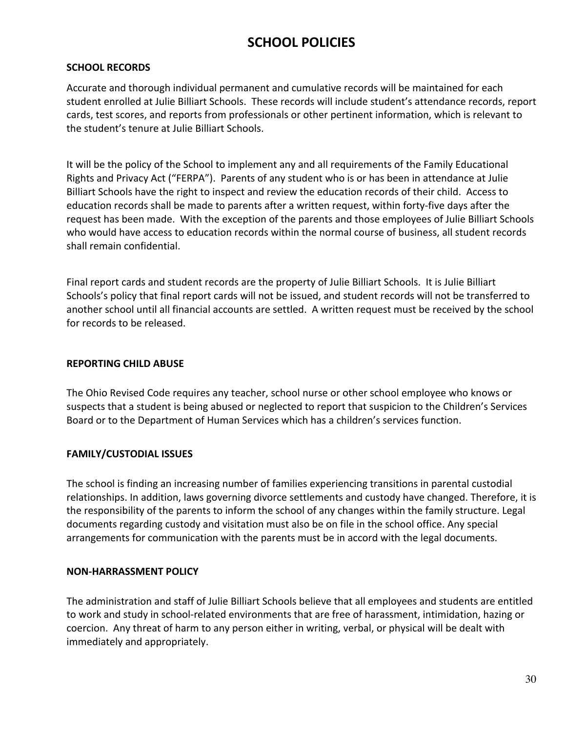# **SCHOOL POLICIES**

## **SCHOOL RECORDS**

Accurate and thorough individual permanent and cumulative records will be maintained for each student enrolled at Julie Billiart Schools. These records will include student's attendance records, report cards, test scores, and reports from professionals or other pertinent information, which is relevant to the student's tenure at Julie Billiart Schools.

It will be the policy of the School to implement any and all requirements of the Family Educational Rights and Privacy Act ("FERPA"). Parents of any student who is or has been in attendance at Julie Billiart Schools have the right to inspect and review the education records of their child. Access to education records shall be made to parents after a written request, within forty-five days after the request has been made. With the exception of the parents and those employees of Julie Billiart Schools who would have access to education records within the normal course of business, all student records shall remain confidential.

Final report cards and student records are the property of Julie Billiart Schools. It is Julie Billiart Schools's policy that final report cards will not be issued, and student records will not be transferred to another school until all financial accounts are settled. A written request must be received by the school for records to be released.

## **REPORTING CHILD ABUSE**

The Ohio Revised Code requires any teacher, school nurse or other school employee who knows or suspects that a student is being abused or neglected to report that suspicion to the Children's Services Board or to the Department of Human Services which has a children's services function.

## **FAMILY/CUSTODIAL ISSUES**

The school is finding an increasing number of families experiencing transitions in parental custodial relationships. In addition, laws governing divorce settlements and custody have changed. Therefore, it is the responsibility of the parents to inform the school of any changes within the family structure. Legal documents regarding custody and visitation must also be on file in the school office. Any special arrangements for communication with the parents must be in accord with the legal documents.

## **NON-HARRASSMENT POLICY**

The administration and staff of Julie Billiart Schools believe that all employees and students are entitled to work and study in school-related environments that are free of harassment, intimidation, hazing or coercion. Any threat of harm to any person either in writing, verbal, or physical will be dealt with immediately and appropriately.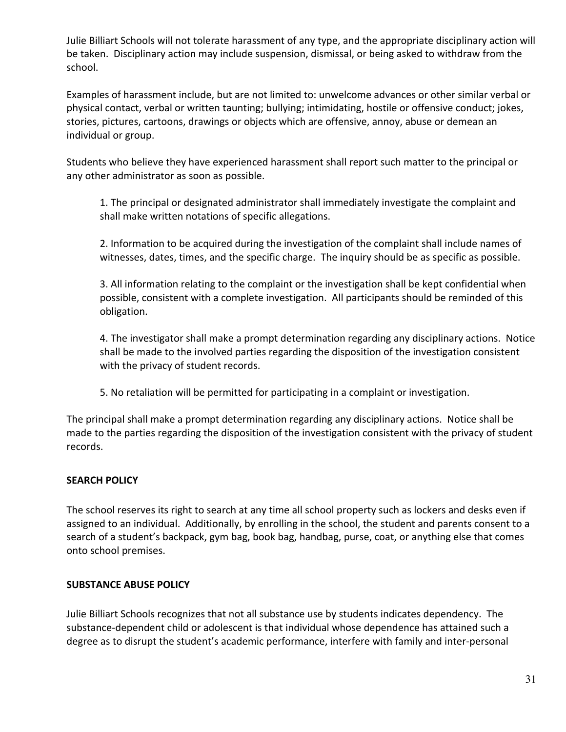Julie Billiart Schools will not tolerate harassment of any type, and the appropriate disciplinary action will be taken. Disciplinary action may include suspension, dismissal, or being asked to withdraw from the school.

Examples of harassment include, but are not limited to: unwelcome advances or other similar verbal or physical contact, verbal or written taunting; bullying; intimidating, hostile or offensive conduct; jokes, stories, pictures, cartoons, drawings or objects which are offensive, annoy, abuse or demean an individual or group.

Students who believe they have experienced harassment shall report such matter to the principal or any other administrator as soon as possible.

1. The principal or designated administrator shall immediately investigate the complaint and shall make written notations of specific allegations.

2. Information to be acquired during the investigation of the complaint shall include names of witnesses, dates, times, and the specific charge. The inquiry should be as specific as possible.

3. All information relating to the complaint or the investigation shall be kept confidential when possible, consistent with a complete investigation. All participants should be reminded of this obligation.

4. The investigator shall make a prompt determination regarding any disciplinary actions. Notice shall be made to the involved parties regarding the disposition of the investigation consistent with the privacy of student records.

5. No retaliation will be permitted for participating in a complaint or investigation.

The principal shall make a prompt determination regarding any disciplinary actions. Notice shall be made to the parties regarding the disposition of the investigation consistent with the privacy of student records.

## **SEARCH POLICY**

The school reserves its right to search at any time all school property such as lockers and desks even if assigned to an individual. Additionally, by enrolling in the school, the student and parents consent to a search of a student's backpack, gym bag, book bag, handbag, purse, coat, or anything else that comes onto school premises.

## **SUBSTANCE ABUSE POLICY**

Julie Billiart Schools recognizes that not all substance use by students indicates dependency. The substance-dependent child or adolescent is that individual whose dependence has attained such a degree as to disrupt the student's academic performance, interfere with family and inter-personal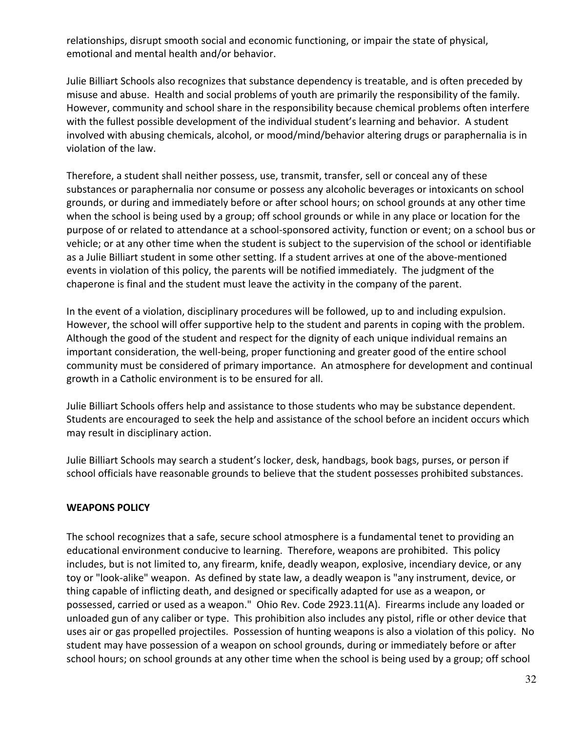relationships, disrupt smooth social and economic functioning, or impair the state of physical, emotional and mental health and/or behavior.

Julie Billiart Schools also recognizes that substance dependency is treatable, and is often preceded by misuse and abuse. Health and social problems of youth are primarily the responsibility of the family. However, community and school share in the responsibility because chemical problems often interfere with the fullest possible development of the individual student's learning and behavior. A student involved with abusing chemicals, alcohol, or mood/mind/behavior altering drugs or paraphernalia is in violation of the law.

Therefore, a student shall neither possess, use, transmit, transfer, sell or conceal any of these substances or paraphernalia nor consume or possess any alcoholic beverages or intoxicants on school grounds, or during and immediately before or after school hours; on school grounds at any other time when the school is being used by a group; off school grounds or while in any place or location for the purpose of or related to attendance at a school-sponsored activity, function or event; on a school bus or vehicle; or at any other time when the student is subject to the supervision of the school or identifiable as a Julie Billiart student in some other setting. If a student arrives at one of the above-mentioned events in violation of this policy, the parents will be notified immediately. The judgment of the chaperone is final and the student must leave the activity in the company of the parent.

In the event of a violation, disciplinary procedures will be followed, up to and including expulsion. However, the school will offer supportive help to the student and parents in coping with the problem. Although the good of the student and respect for the dignity of each unique individual remains an important consideration, the well-being, proper functioning and greater good of the entire school community must be considered of primary importance. An atmosphere for development and continual growth in a Catholic environment is to be ensured for all.

Julie Billiart Schools offers help and assistance to those students who may be substance dependent. Students are encouraged to seek the help and assistance of the school before an incident occurs which may result in disciplinary action.

Julie Billiart Schools may search a student's locker, desk, handbags, book bags, purses, or person if school officials have reasonable grounds to believe that the student possesses prohibited substances.

## **WEAPONS POLICY**

The school recognizes that a safe, secure school atmosphere is a fundamental tenet to providing an educational environment conducive to learning. Therefore, weapons are prohibited. This policy includes, but is not limited to, any firearm, knife, deadly weapon, explosive, incendiary device, or any toy or "look-alike" weapon. As defined by state law, a deadly weapon is "any instrument, device, or thing capable of inflicting death, and designed or specifically adapted for use as a weapon, or possessed, carried or used as a weapon." Ohio Rev. Code 2923.11(A). Firearms include any loaded or unloaded gun of any caliber or type. This prohibition also includes any pistol, rifle or other device that uses air or gas propelled projectiles. Possession of hunting weapons is also a violation of this policy. No student may have possession of a weapon on school grounds, during or immediately before or after school hours; on school grounds at any other time when the school is being used by a group; off school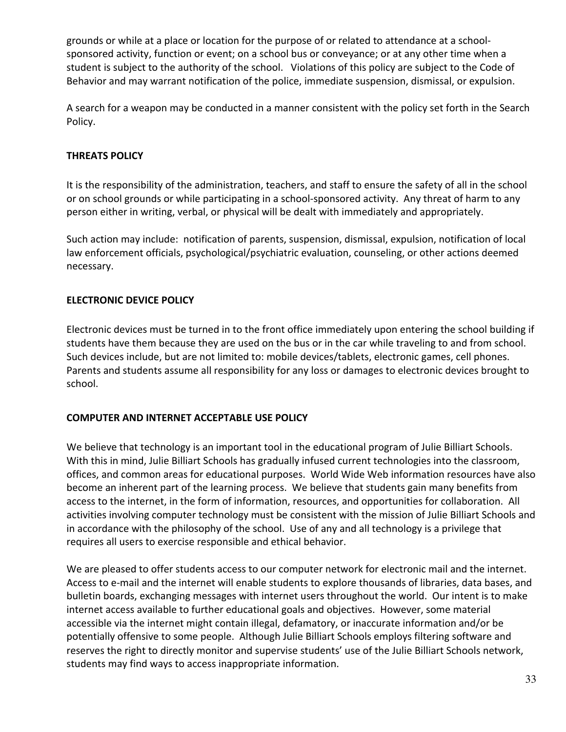grounds or while at a place or location for the purpose of or related to attendance at a schoolsponsored activity, function or event; on a school bus or conveyance; or at any other time when a student is subject to the authority of the school. Violations of this policy are subject to the Code of Behavior and may warrant notification of the police, immediate suspension, dismissal, or expulsion.

A search for a weapon may be conducted in a manner consistent with the policy set forth in the Search Policy.

## **THREATS POLICY**

It is the responsibility of the administration, teachers, and staff to ensure the safety of all in the school or on school grounds or while participating in a school-sponsored activity. Any threat of harm to any person either in writing, verbal, or physical will be dealt with immediately and appropriately.

Such action may include: notification of parents, suspension, dismissal, expulsion, notification of local law enforcement officials, psychological/psychiatric evaluation, counseling, or other actions deemed necessary.

## **ELECTRONIC DEVICE POLICY**

Electronic devices must be turned in to the front office immediately upon entering the school building if students have them because they are used on the bus or in the car while traveling to and from school. Such devices include, but are not limited to: mobile devices/tablets, electronic games, cell phones. Parents and students assume all responsibility for any loss or damages to electronic devices brought to school.

## **COMPUTER AND INTERNET ACCEPTABLE USE POLICY**

We believe that technology is an important tool in the educational program of Julie Billiart Schools. With this in mind, Julie Billiart Schools has gradually infused current technologies into the classroom, offices, and common areas for educational purposes. World Wide Web information resources have also become an inherent part of the learning process. We believe that students gain many benefits from access to the internet, in the form of information, resources, and opportunities for collaboration. All activities involving computer technology must be consistent with the mission of Julie Billiart Schools and in accordance with the philosophy of the school. Use of any and all technology is a privilege that requires all users to exercise responsible and ethical behavior.

We are pleased to offer students access to our computer network for electronic mail and the internet. Access to e-mail and the internet will enable students to explore thousands of libraries, data bases, and bulletin boards, exchanging messages with internet users throughout the world. Our intent is to make internet access available to further educational goals and objectives. However, some material accessible via the internet might contain illegal, defamatory, or inaccurate information and/or be potentially offensive to some people. Although Julie Billiart Schools employs filtering software and reserves the right to directly monitor and supervise students' use of the Julie Billiart Schools network, students may find ways to access inappropriate information.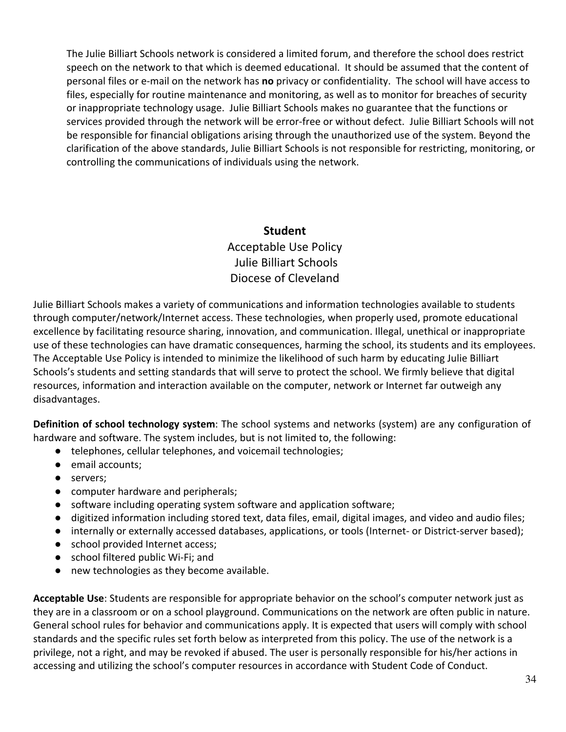The Julie Billiart Schools network is considered a limited forum, and therefore the school does restrict speech on the network to that which is deemed educational. It should be assumed that the content of personal files or e-mail on the network has **no** privacy or confidentiality. The school will have access to files, especially for routine maintenance and monitoring, as well as to monitor for breaches of security or inappropriate technology usage. Julie Billiart Schools makes no guarantee that the functions or services provided through the network will be error-free or without defect. Julie Billiart Schools will not be responsible for financial obligations arising through the unauthorized use of the system. Beyond the clarification of the above standards, Julie Billiart Schools is not responsible for restricting, monitoring, or controlling the communications of individuals using the network.

## **Student**  Acceptable Use Policy Julie Billiart Schools Diocese of Cleveland

Julie Billiart Schools makes a variety of communications and information technologies available to students through computer/network/Internet access. These technologies, when properly used, promote educational excellence by facilitating resource sharing, innovation, and communication. Illegal, unethical or inappropriate use of these technologies can have dramatic consequences, harming the school, its students and its employees. The Acceptable Use Policy is intended to minimize the likelihood of such harm by educating Julie Billiart Schools's students and setting standards that will serve to protect the school. We firmly believe that digital resources, information and interaction available on the computer, network or Internet far outweigh any disadvantages.

**Definition of school technology system**: The school systems and networks (system) are any configuration of hardware and software. The system includes, but is not limited to, the following:

- telephones, cellular telephones, and voicemail technologies;
- email accounts;
- servers;
- computer hardware and peripherals;
- software including operating system software and application software;
- digitized information including stored text, data files, email, digital images, and video and audio files;
- internally or externally accessed databases, applications, or tools (Internet- or District-server based);
- school provided Internet access;
- school filtered public Wi-Fi; and
- new technologies as they become available.

**Acceptable Use**: Students are responsible for appropriate behavior on the school's computer network just as they are in a classroom or on a school playground. Communications on the network are often public in nature. General school rules for behavior and communications apply. It is expected that users will comply with school standards and the specific rules set forth below as interpreted from this policy. The use of the network is a privilege, not a right, and may be revoked if abused. The user is personally responsible for his/her actions in accessing and utilizing the school's computer resources in accordance with Student Code of Conduct.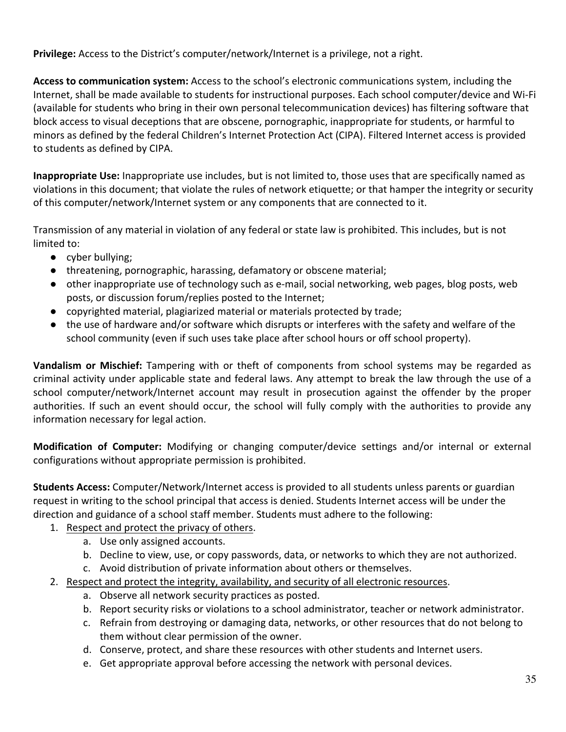**Privilege:** Access to the District's computer/network/Internet is a privilege, not a right.

**Access to communication system:** Access to the school's electronic communications system, including the Internet, shall be made available to students for instructional purposes. Each school computer/device and Wi-Fi (available for students who bring in their own personal telecommunication devices) has filtering software that block access to visual deceptions that are obscene, pornographic, inappropriate for students, or harmful to minors as defined by the federal Children's Internet Protection Act (CIPA). Filtered Internet access is provided to students as defined by CIPA.

**Inappropriate Use:** Inappropriate use includes, but is not limited to, those uses that are specifically named as violations in this document; that violate the rules of network etiquette; or that hamper the integrity or security of this computer/network/Internet system or any components that are connected to it.

Transmission of any material in violation of any federal or state law is prohibited. This includes, but is not limited to:

- cyber bullying;
- threatening, pornographic, harassing, defamatory or obscene material;
- other inappropriate use of technology such as e-mail, social networking, web pages, blog posts, web posts, or discussion forum/replies posted to the Internet;
- copyrighted material, plagiarized material or materials protected by trade;
- the use of hardware and/or software which disrupts or interferes with the safety and welfare of the school community (even if such uses take place after school hours or off school property).

**Vandalism or Mischief:** Tampering with or theft of components from school systems may be regarded as criminal activity under applicable state and federal laws. Any attempt to break the law through the use of a school computer/network/Internet account may result in prosecution against the offender by the proper authorities. If such an event should occur, the school will fully comply with the authorities to provide any information necessary for legal action.

**Modification of Computer:** Modifying or changing computer/device settings and/or internal or external configurations without appropriate permission is prohibited.

**Students Access:** Computer/Network/Internet access is provided to all students unless parents or guardian request in writing to the school principal that access is denied. Students Internet access will be under the direction and guidance of a school staff member. Students must adhere to the following:

- 1. Respect and protect the privacy of others.
	- a. Use only assigned accounts.
	- b. Decline to view, use, or copy passwords, data, or networks to which they are not authorized.
	- c. Avoid distribution of private information about others or themselves.
- 2. Respect and protect the integrity, availability, and security of all electronic resources.
	- a. Observe all network security practices as posted.
	- b. Report security risks or violations to a school administrator, teacher or network administrator.
	- c. Refrain from destroying or damaging data, networks, or other resources that do not belong to them without clear permission of the owner.
	- d. Conserve, protect, and share these resources with other students and Internet users.
	- e. Get appropriate approval before accessing the network with personal devices.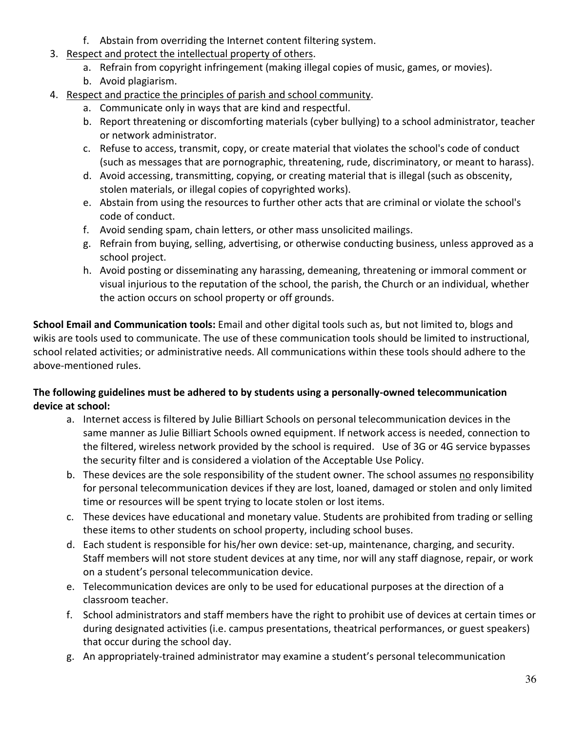- f. Abstain from overriding the Internet content filtering system.
- 3. Respect and protect the intellectual property of others.
	- a. Refrain from copyright infringement (making illegal copies of music, games, or movies).
	- b. Avoid plagiarism.
- 4. Respect and practice the principles of parish and school community.
	- a. Communicate only in ways that are kind and respectful.
	- b. Report threatening or discomforting materials (cyber bullying) to a school administrator, teacher or network administrator.
	- c. Refuse to access, transmit, copy, or create material that violates the school's code of conduct (such as messages that are pornographic, threatening, rude, discriminatory, or meant to harass).
	- d. Avoid accessing, transmitting, copying, or creating material that is illegal (such as obscenity, stolen materials, or illegal copies of copyrighted works).
	- e. Abstain from using the resources to further other acts that are criminal or violate the school's code of conduct.
	- f. Avoid sending spam, chain letters, or other mass unsolicited mailings.
	- g. Refrain from buying, selling, advertising, or otherwise conducting business, unless approved as a school project.
	- h. Avoid posting or disseminating any harassing, demeaning, threatening or immoral comment or visual injurious to the reputation of the school, the parish, the Church or an individual, whether the action occurs on school property or off grounds.

**School Email and Communication tools:** Email and other digital tools such as, but not limited to, blogs and wikis are tools used to communicate. The use of these communication tools should be limited to instructional, school related activities; or administrative needs. All communications within these tools should adhere to the above-mentioned rules.

## **The following guidelines must be adhered to by students using a personally-owned telecommunication device at school:**

- a. Internet access is filtered by Julie Billiart Schools on personal telecommunication devices in the same manner as Julie Billiart Schools owned equipment. If network access is needed, connection to the filtered, wireless network provided by the school is required. Use of 3G or 4G service bypasses the security filter and is considered a violation of the Acceptable Use Policy.
- b. These devices are the sole responsibility of the student owner. The school assumes no responsibility for personal telecommunication devices if they are lost, loaned, damaged or stolen and only limited time or resources will be spent trying to locate stolen or lost items.
- c. These devices have educational and monetary value. Students are prohibited from trading or selling these items to other students on school property, including school buses.
- d. Each student is responsible for his/her own device: set-up, maintenance, charging, and security. Staff members will not store student devices at any time, nor will any staff diagnose, repair, or work on a student's personal telecommunication device.
- e. Telecommunication devices are only to be used for educational purposes at the direction of a classroom teacher.
- f. School administrators and staff members have the right to prohibit use of devices at certain times or during designated activities (i.e. campus presentations, theatrical performances, or guest speakers) that occur during the school day.
- g. An appropriately-trained administrator may examine a student's personal telecommunication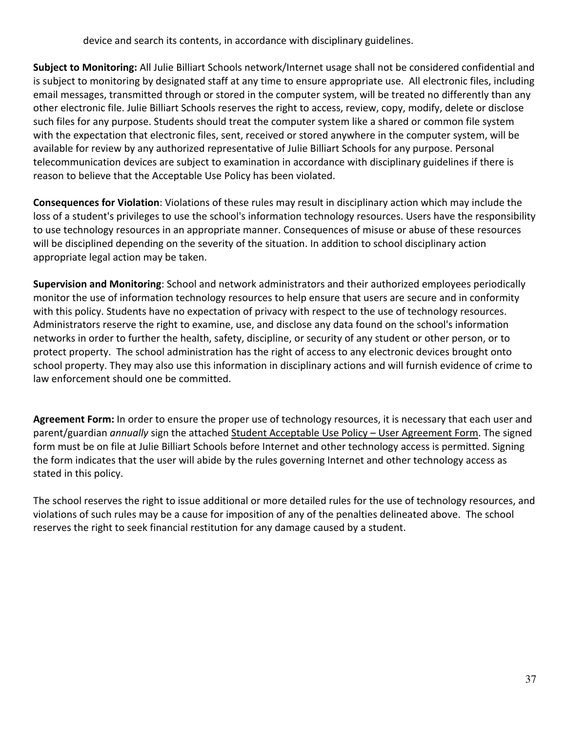device and search its contents, in accordance with disciplinary guidelines.

**Subject to Monitoring:** All Julie Billiart Schools network/Internet usage shall not be considered confidential and is subject to monitoring by designated staff at any time to ensure appropriate use. All electronic files, including email messages, transmitted through or stored in the computer system, will be treated no differently than any other electronic file. Julie Billiart Schools reserves the right to access, review, copy, modify, delete or disclose such files for any purpose. Students should treat the computer system like a shared or common file system with the expectation that electronic files, sent, received or stored anywhere in the computer system, will be available for review by any authorized representative of Julie Billiart Schools for any purpose. Personal telecommunication devices are subject to examination in accordance with disciplinary guidelines if there is reason to believe that the Acceptable Use Policy has been violated.

**Consequences for Violation**: Violations of these rules may result in disciplinary action which may include the loss of a student's privileges to use the school's information technology resources. Users have the responsibility to use technology resources in an appropriate manner. Consequences of misuse or abuse of these resources will be disciplined depending on the severity of the situation. In addition to school disciplinary action appropriate legal action may be taken.

**Supervision and Monitoring**: School and network administrators and their authorized employees periodically monitor the use of information technology resources to help ensure that users are secure and in conformity with this policy. Students have no expectation of privacy with respect to the use of technology resources. Administrators reserve the right to examine, use, and disclose any data found on the school's information networks in order to further the health, safety, discipline, or security of any student or other person, or to protect property. The school administration has the right of access to any electronic devices brought onto school property. They may also use this information in disciplinary actions and will furnish evidence of crime to law enforcement should one be committed.

**Agreement Form:** In order to ensure the proper use of technology resources, it is necessary that each user and parent/guardian *annually* sign the attached Student Acceptable Use Policy – User Agreement Form. The signed form must be on file at Julie Billiart Schools before Internet and other technology access is permitted. Signing the form indicates that the user will abide by the rules governing Internet and other technology access as stated in this policy.

The school reserves the right to issue additional or more detailed rules for the use of technology resources, and violations of such rules may be a cause for imposition of any of the penalties delineated above. The school reserves the right to seek financial restitution for any damage caused by a student.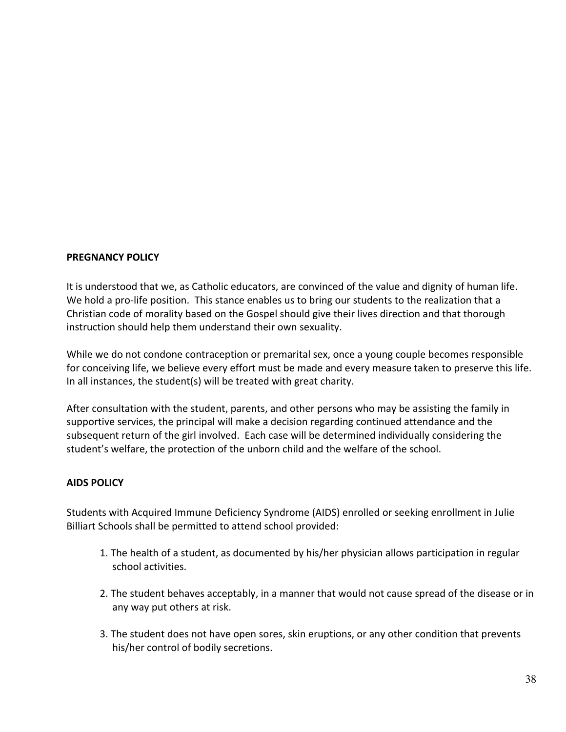## **PREGNANCY POLICY**

It is understood that we, as Catholic educators, are convinced of the value and dignity of human life. We hold a pro-life position. This stance enables us to bring our students to the realization that a Christian code of morality based on the Gospel should give their lives direction and that thorough instruction should help them understand their own sexuality.

While we do not condone contraception or premarital sex, once a young couple becomes responsible for conceiving life, we believe every effort must be made and every measure taken to preserve this life. In all instances, the student(s) will be treated with great charity.

After consultation with the student, parents, and other persons who may be assisting the family in supportive services, the principal will make a decision regarding continued attendance and the subsequent return of the girl involved. Each case will be determined individually considering the student's welfare, the protection of the unborn child and the welfare of the school.

## **AIDS POLICY**

Students with Acquired Immune Deficiency Syndrome (AIDS) enrolled or seeking enrollment in Julie Billiart Schools shall be permitted to attend school provided:

- 1. The health of a student, as documented by his/her physician allows participation in regular school activities.
- 2. The student behaves acceptably, in a manner that would not cause spread of the disease or in any way put others at risk.
- 3. The student does not have open sores, skin eruptions, or any other condition that prevents his/her control of bodily secretions.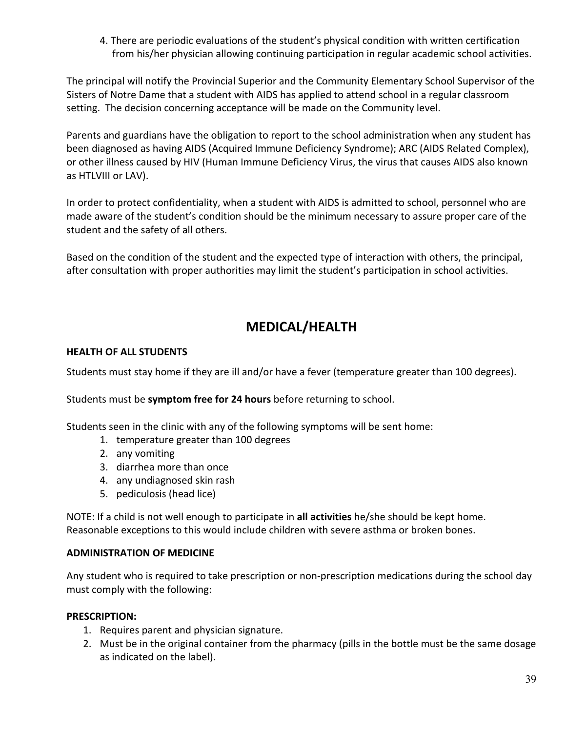4. There are periodic evaluations of the student's physical condition with written certification from his/her physician allowing continuing participation in regular academic school activities.

The principal will notify the Provincial Superior and the Community Elementary School Supervisor of the Sisters of Notre Dame that a student with AIDS has applied to attend school in a regular classroom setting. The decision concerning acceptance will be made on the Community level.

Parents and guardians have the obligation to report to the school administration when any student has been diagnosed as having AIDS (Acquired Immune Deficiency Syndrome); ARC (AIDS Related Complex), or other illness caused by HIV (Human Immune Deficiency Virus, the virus that causes AIDS also known as HTLVIII or LAV).

In order to protect confidentiality, when a student with AIDS is admitted to school, personnel who are made aware of the student's condition should be the minimum necessary to assure proper care of the student and the safety of all others.

Based on the condition of the student and the expected type of interaction with others, the principal, after consultation with proper authorities may limit the student's participation in school activities.

# **MEDICAL/HEALTH**

## **HEALTH OF ALL STUDENTS**

Students must stay home if they are ill and/or have a fever (temperature greater than 100 degrees).

Students must be **symptom free for 24 hours** before returning to school.

Students seen in the clinic with any of the following symptoms will be sent home:

- 1. temperature greater than 100 degrees
- 2. any vomiting
- 3. diarrhea more than once
- 4. any undiagnosed skin rash
- 5. pediculosis (head lice)

NOTE: If a child is not well enough to participate in **all activities** he/she should be kept home. Reasonable exceptions to this would include children with severe asthma or broken bones.

## **ADMINISTRATION OF MEDICINE**

Any student who is required to take prescription or non-prescription medications during the school day must comply with the following:

## **PRESCRIPTION:**

- 1. Requires parent and physician signature.
- 2. Must be in the original container from the pharmacy (pills in the bottle must be the same dosage as indicated on the label).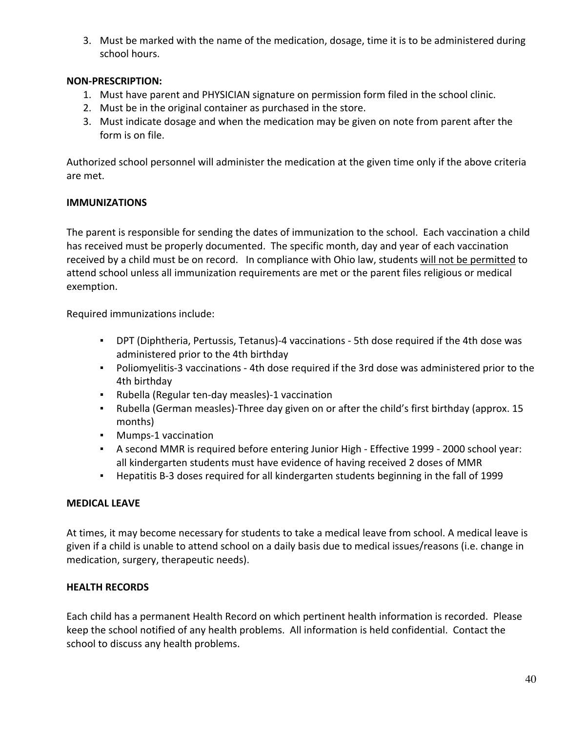3. Must be marked with the name of the medication, dosage, time it is to be administered during school hours.

## **NON-PRESCRIPTION:**

- 1. Must have parent and PHYSICIAN signature on permission form filed in the school clinic.
- 2. Must be in the original container as purchased in the store.
- 3. Must indicate dosage and when the medication may be given on note from parent after the form is on file.

Authorized school personnel will administer the medication at the given time only if the above criteria are met.

## **IMMUNIZATIONS**

The parent is responsible for sending the dates of immunization to the school. Each vaccination a child has received must be properly documented. The specific month, day and year of each vaccination received by a child must be on record. In compliance with Ohio law, students will not be permitted to attend school unless all immunization requirements are met or the parent files religious or medical exemption.

Required immunizations include:

- DPT (Diphtheria, Pertussis, Tetanus)-4 vaccinations 5th dose required if the 4th dose was administered prior to the 4th birthday
- Poliomyelitis-3 vaccinations 4th dose required if the 3rd dose was administered prior to the 4th birthday
- Rubella (Regular ten-day measles)-1 vaccination
- Rubella (German measles)-Three day given on or after the child's first birthday (approx. 15 months)
- Mumps-1 vaccination
- A second MMR is required before entering Junior High Effective 1999 2000 school year: all kindergarten students must have evidence of having received 2 doses of MMR
- Hepatitis B-3 doses required for all kindergarten students beginning in the fall of 1999

## **MEDICAL LEAVE**

At times, it may become necessary for students to take a medical leave from school. A medical leave is given if a child is unable to attend school on a daily basis due to medical issues/reasons (i.e. change in medication, surgery, therapeutic needs).

## **HEALTH RECORDS**

Each child has a permanent Health Record on which pertinent health information is recorded. Please keep the school notified of any health problems. All information is held confidential. Contact the school to discuss any health problems.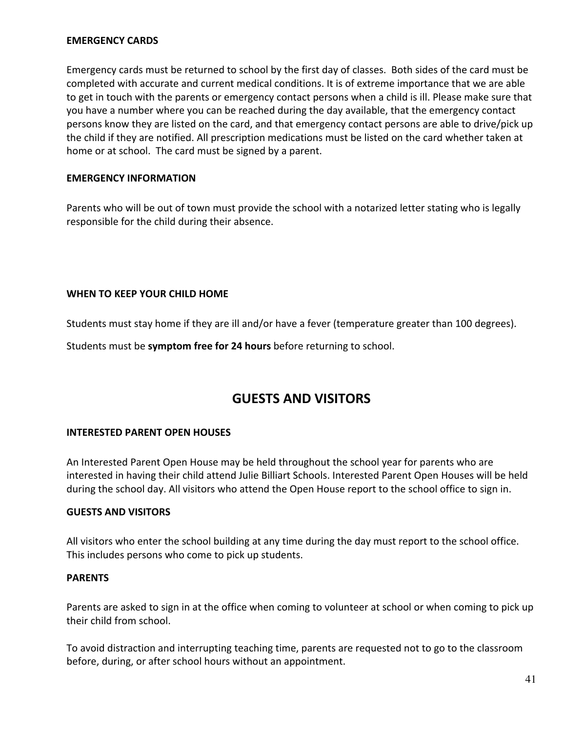## **EMERGENCY CARDS**

Emergency cards must be returned to school by the first day of classes. Both sides of the card must be completed with accurate and current medical conditions. It is of extreme importance that we are able to get in touch with the parents or emergency contact persons when a child is ill. Please make sure that you have a number where you can be reached during the day available, that the emergency contact persons know they are listed on the card, and that emergency contact persons are able to drive/pick up the child if they are notified. All prescription medications must be listed on the card whether taken at home or at school. The card must be signed by a parent.

## **EMERGENCY INFORMATION**

Parents who will be out of town must provide the school with a notarized letter stating who is legally responsible for the child during their absence.

## **WHEN TO KEEP YOUR CHILD HOME**

Students must stay home if they are ill and/or have a fever (temperature greater than 100 degrees).

Students must be **symptom free for 24 hours** before returning to school.

## **GUESTS AND VISITORS**

## **INTERESTED PARENT OPEN HOUSES**

An Interested Parent Open House may be held throughout the school year for parents who are interested in having their child attend Julie Billiart Schools. Interested Parent Open Houses will be held during the school day. All visitors who attend the Open House report to the school office to sign in.

## **GUESTS AND VISITORS**

All visitors who enter the school building at any time during the day must report to the school office. This includes persons who come to pick up students.

## **PARENTS**

Parents are asked to sign in at the office when coming to volunteer at school or when coming to pick up their child from school.

To avoid distraction and interrupting teaching time, parents are requested not to go to the classroom before, during, or after school hours without an appointment.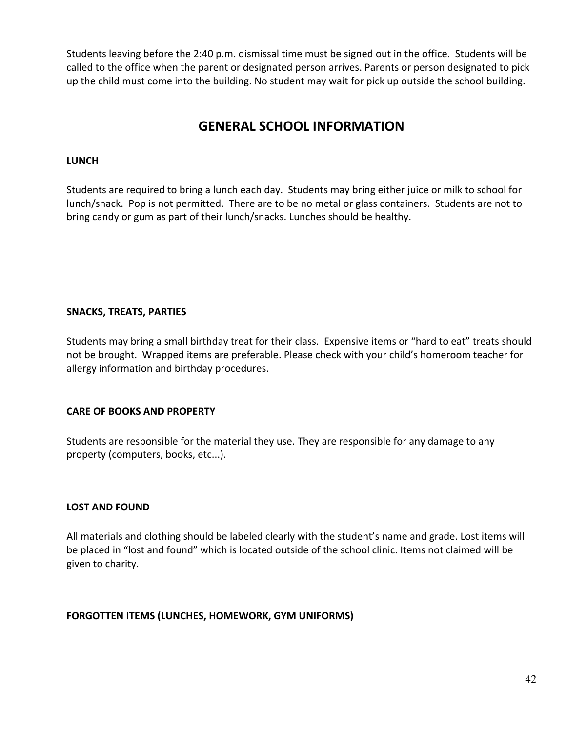Students leaving before the 2:40 p.m. dismissal time must be signed out in the office. Students will be called to the office when the parent or designated person arrives. Parents or person designated to pick up the child must come into the building. No student may wait for pick up outside the school building.

# **GENERAL SCHOOL INFORMATION**

## **LUNCH**

Students are required to bring a lunch each day. Students may bring either juice or milk to school for lunch/snack. Pop is not permitted. There are to be no metal or glass containers. Students are not to bring candy or gum as part of their lunch/snacks. Lunches should be healthy.

## **SNACKS, TREATS, PARTIES**

Students may bring a small birthday treat for their class. Expensive items or "hard to eat" treats should not be brought. Wrapped items are preferable. Please check with your child's homeroom teacher for allergy information and birthday procedures.

## **CARE OF BOOKS AND PROPERTY**

Students are responsible for the material they use. They are responsible for any damage to any property (computers, books, etc...).

## **LOST AND FOUND**

All materials and clothing should be labeled clearly with the student's name and grade. Lost items will be placed in "lost and found" which is located outside of the school clinic. Items not claimed will be given to charity.

**FORGOTTEN ITEMS (LUNCHES, HOMEWORK, GYM UNIFORMS)**